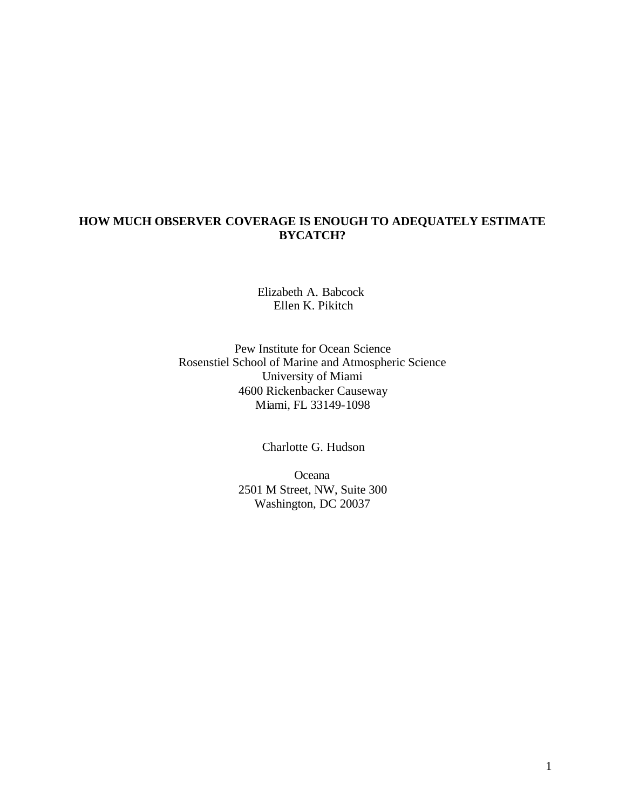## **HOW MUCH OBSERVER COVERAGE IS ENOUGH TO ADEQUATELY ESTIMATE BYCATCH?**

Elizabeth A. Babcock Ellen K. Pikitch

Pew Institute for Ocean Science Rosenstiel School of Marine and Atmospheric Science University of Miami 4600 Rickenbacker Causeway Miami, FL 33149-1098

Charlotte G. Hudson

Oceana 2501 M Street, NW, Suite 300 Washington, DC 20037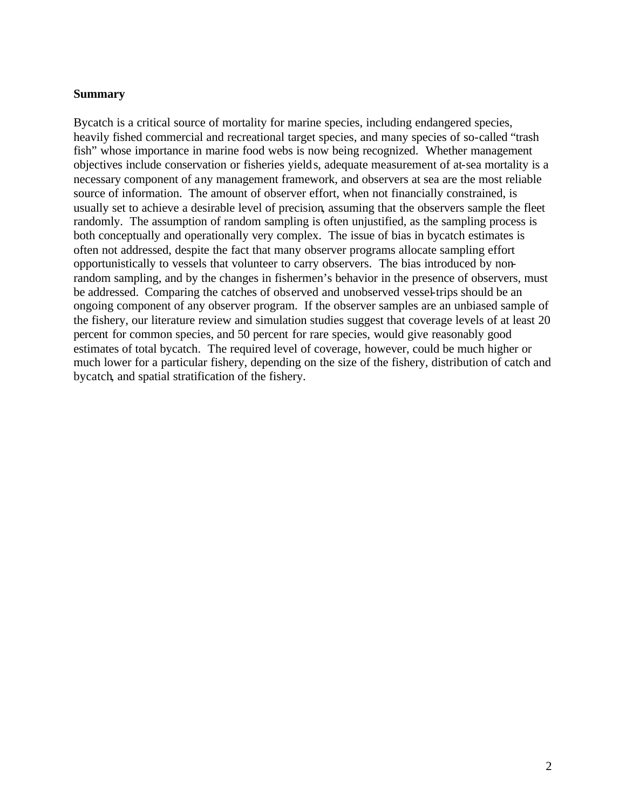#### **Summary**

Bycatch is a critical source of mortality for marine species, including endangered species, heavily fished commercial and recreational target species, and many species of so-called "trash fish" whose importance in marine food webs is now being recognized. Whether management objectives include conservation or fisheries yields, adequate measurement of at-sea mortality is a necessary component of any management framework, and observers at sea are the most reliable source of information. The amount of observer effort, when not financially constrained, is usually set to achieve a desirable level of precision, assuming that the observers sample the fleet randomly. The assumption of random sampling is often unjustified, as the sampling process is both conceptually and operationally very complex. The issue of bias in bycatch estimates is often not addressed, despite the fact that many observer programs allocate sampling effort opportunistically to vessels that volunteer to carry observers. The bias introduced by nonrandom sampling, and by the changes in fishermen's behavior in the presence of observers, must be addressed. Comparing the catches of observed and unobserved vessel-trips should be an ongoing component of any observer program. If the observer samples are an unbiased sample of the fishery, our literature review and simulation studies suggest that coverage levels of at least 20 percent for common species, and 50 percent for rare species, would give reasonably good estimates of total bycatch. The required level of coverage, however, could be much higher or much lower for a particular fishery, depending on the size of the fishery, distribution of catch and bycatch, and spatial stratification of the fishery.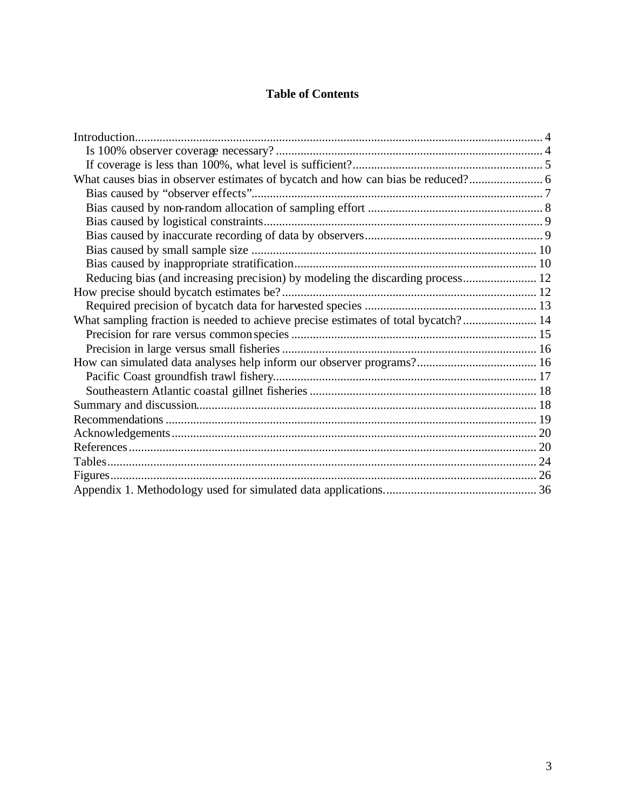# **Table of Contents**

| What causes bias in observer estimates of bycatch and how can bias be reduced?     |  |
|------------------------------------------------------------------------------------|--|
|                                                                                    |  |
|                                                                                    |  |
|                                                                                    |  |
|                                                                                    |  |
|                                                                                    |  |
|                                                                                    |  |
|                                                                                    |  |
|                                                                                    |  |
|                                                                                    |  |
| What sampling fraction is needed to achieve precise estimates of total bycatch? 14 |  |
|                                                                                    |  |
|                                                                                    |  |
|                                                                                    |  |
|                                                                                    |  |
|                                                                                    |  |
|                                                                                    |  |
|                                                                                    |  |
|                                                                                    |  |
|                                                                                    |  |
|                                                                                    |  |
|                                                                                    |  |
|                                                                                    |  |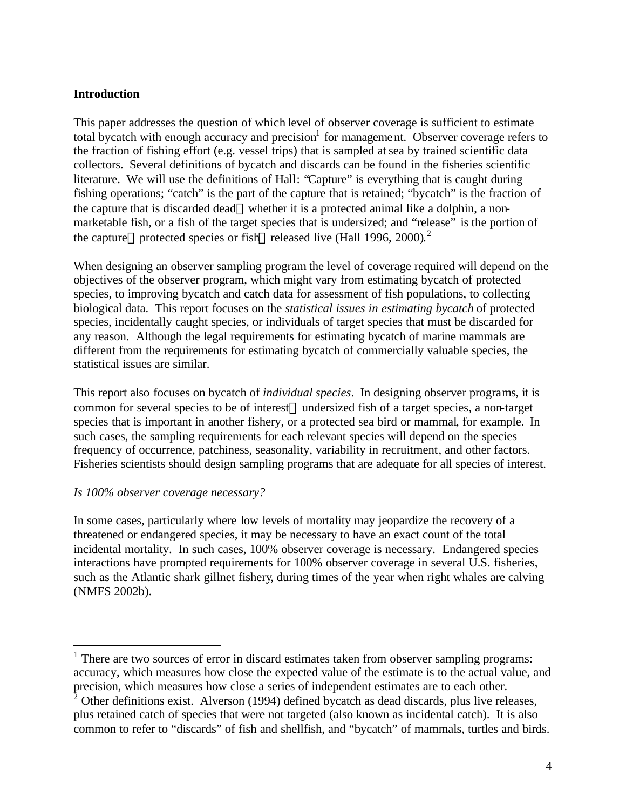### **Introduction**

This paper addresses the question of which level of observer coverage is sufficient to estimate total bycatch with enough accuracy and precision<sup>1</sup> for management. Observer coverage refers to the fraction of fishing effort (e.g. vessel trips) that is sampled atsea by trained scientific data collectors. Several definitions of bycatch and discards can be found in the fisheries scientific literature. We will use the definitions of Hall: "Capture" is everything that is caught during fishing operations; "catch" is the part of the capture that is retained; "bycatch" is the fraction of the capture that is discarded dead—whether it is a protected animal like a dolphin, a nonmarketable fish, or a fish of the target species that is undersized; and "release" is the portion of the capture—protected species or fish—released live (Hall 1996, 2000).<sup>2</sup>

When designing an observer sampling program the level of coverage required will depend on the objectives of the observer program, which might vary from estimating bycatch of protected species, to improving bycatch and catch data for assessment of fish populations, to collecting biological data. This report focuses on the *statistical issues in estimating bycatch* of protected species, incidentally caught species, or individuals of target species that must be discarded for any reason. Although the legal requirements for estimating bycatch of marine mammals are different from the requirements for estimating bycatch of commercially valuable species, the statistical issues are similar.

This report also focuses on bycatch of *individual species*. In designing observer programs, it is common for several species to be of interest—undersized fish of a target species, a non-target species that is important in another fishery, or a protected sea bird or mammal, for example. In such cases, the sampling requirements for each relevant species will depend on the species frequency of occurrence, patchiness, seasonality, variability in recruitment, and other factors. Fisheries scientists should design sampling programs that are adequate for all species of interest.

#### *Is 100% observer coverage necessary?*

 $\overline{a}$ 

In some cases, particularly where low levels of mortality may jeopardize the recovery of a threatened or endangered species, it may be necessary to have an exact count of the total incidental mortality. In such cases, 100% observer coverage is necessary. Endangered species interactions have prompted requirements for 100% observer coverage in several U.S. fisheries, such as the Atlantic shark gillnet fishery, during times of the year when right whales are calving (NMFS 2002b).

 $<sup>1</sup>$  There are two sources of error in discard estimates taken from observer sampling programs:</sup> accuracy, which measures how close the expected value of the estimate is to the actual value, and precision, which measures how close a series of independent estimates are to each other.

 $2^{\circ}$  Other definitions exist. Alverson (1994) defined bycatch as dead discards, plus live releases, plus retained catch of species that were not targeted (also known as incidental catch). It is also common to refer to "discards" of fish and shellfish, and "bycatch" of mammals, turtles and birds.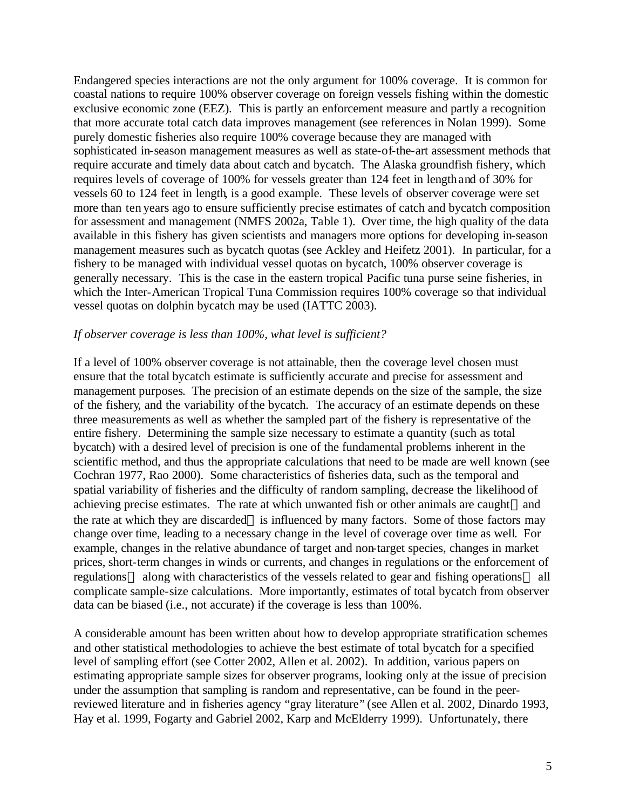Endangered species interactions are not the only argument for 100% coverage. It is common for coastal nations to require 100% observer coverage on foreign vessels fishing within the domestic exclusive economic zone (EEZ). This is partly an enforcement measure and partly a recognition that more accurate total catch data improves management (see references in Nolan 1999). Some purely domestic fisheries also require 100% coverage because they are managed with sophisticated in-season management measures as well as state-of-the-art assessment methods that require accurate and timely data about catch and bycatch. The Alaska groundfish fishery, which requires levels of coverage of 100% for vessels greater than 124 feet in length and of 30% for vessels 60 to 124 feet in length, is a good example. These levels of observer coverage were set more than ten years ago to ensure sufficiently precise estimates of catch and bycatch composition for assessment and management (NMFS 2002a, Table 1). Over time, the high quality of the data available in this fishery has given scientists and managers more options for developing in-season management measures such as bycatch quotas (see Ackley and Heifetz 2001). In particular, for a fishery to be managed with individual vessel quotas on bycatch, 100% observer coverage is generally necessary. This is the case in the eastern tropical Pacific tuna purse seine fisheries, in which the Inter-American Tropical Tuna Commission requires 100% coverage so that individual vessel quotas on dolphin bycatch may be used (IATTC 2003).

#### *If observer coverage is less than 100%, what level is sufficient?*

If a level of 100% observer coverage is not attainable, then the coverage level chosen must ensure that the total bycatch estimate is sufficiently accurate and precise for assessment and management purposes. The precision of an estimate depends on the size of the sample, the size of the fishery, and the variability of the bycatch. The accuracy of an estimate depends on these three measurements as well as whether the sampled part of the fishery is representative of the entire fishery. Determining the sample size necessary to estimate a quantity (such as total bycatch) with a desired level of precision is one of the fundamental problems inherent in the scientific method, and thus the appropriate calculations that need to be made are well known (see Cochran 1977, Rao 2000). Some characteristics of fisheries data, such as the temporal and spatial variability of fisheries and the difficulty of random sampling, decrease the likelihood of achieving precise estimates. The rate at which unwanted fish or other animals are caught—and the rate at which they are discarded—is influenced by many factors. Some of those factors may change over time, leading to a necessary change in the level of coverage over time as well. For example, changes in the relative abundance of target and non-target species, changes in market prices, short-term changes in winds or currents, and changes in regulations or the enforcement of regulations—along with characteristics of the vessels related to gear and fishing operations—all complicate sample-size calculations. More importantly, estimates of total bycatch from observer data can be biased (i.e., not accurate) if the coverage is less than 100%.

A considerable amount has been written about how to develop appropriate stratification schemes and other statistical methodologies to achieve the best estimate of total bycatch for a specified level of sampling effort (see Cotter 2002, Allen et al. 2002). In addition, various papers on estimating appropriate sample sizes for observer programs, looking only at the issue of precision under the assumption that sampling is random and representative, can be found in the peerreviewed literature and in fisheries agency "gray literature" (see Allen et al. 2002, Dinardo 1993, Hay et al. 1999, Fogarty and Gabriel 2002, Karp and McElderry 1999). Unfortunately, there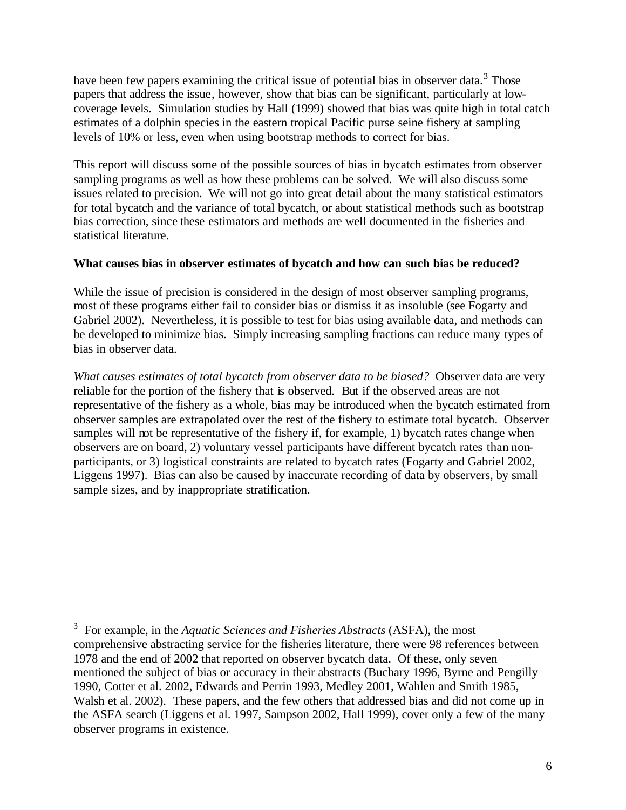have been few papers examining the critical issue of potential bias in observer data.<sup>3</sup> Those papers that address the issue, however, show that bias can be significant, particularly at lowcoverage levels. Simulation studies by Hall (1999) showed that bias was quite high in total catch estimates of a dolphin species in the eastern tropical Pacific purse seine fishery at sampling levels of 10% or less, even when using bootstrap methods to correct for bias.

This report will discuss some of the possible sources of bias in bycatch estimates from observer sampling programs as well as how these problems can be solved. We will also discuss some issues related to precision. We will not go into great detail about the many statistical estimators for total bycatch and the variance of total bycatch, or about statistical methods such as bootstrap bias correction, since these estimators and methods are well documented in the fisheries and statistical literature.

## **What causes bias in observer estimates of bycatch and how can such bias be reduced?**

While the issue of precision is considered in the design of most observer sampling programs, most of these programs either fail to consider bias or dismiss it as insoluble (see Fogarty and Gabriel 2002). Nevertheless, it is possible to test for bias using available data, and methods can be developed to minimize bias. Simply increasing sampling fractions can reduce many types of bias in observer data.

*What causes estimates of total bycatch from observer data to be biased?* Observer data are very reliable for the portion of the fishery that is observed. But if the observed areas are not representative of the fishery as a whole, bias may be introduced when the bycatch estimated from observer samples are extrapolated over the rest of the fishery to estimate total bycatch. Observer samples will not be representative of the fishery if, for example, 1) bycatch rates change when observers are on board, 2) voluntary vessel participants have different bycatch rates than nonparticipants, or 3) logistical constraints are related to bycatch rates (Fogarty and Gabriel 2002, Liggens 1997). Bias can also be caused by inaccurate recording of data by observers, by small sample sizes, and by inappropriate stratification.

 $\overline{a}$ 

<sup>3</sup> For example, in the *Aquatic Sciences and Fisheries Abstracts* (ASFA), the most comprehensive abstracting service for the fisheries literature, there were 98 references between 1978 and the end of 2002 that reported on observer bycatch data. Of these, only seven mentioned the subject of bias or accuracy in their abstracts (Buchary 1996, Byrne and Pengilly 1990, Cotter et al. 2002, Edwards and Perrin 1993, Medley 2001, Wahlen and Smith 1985, Walsh et al. 2002). These papers, and the few others that addressed bias and did not come up in the ASFA search (Liggens et al. 1997, Sampson 2002, Hall 1999), cover only a few of the many observer programs in existence.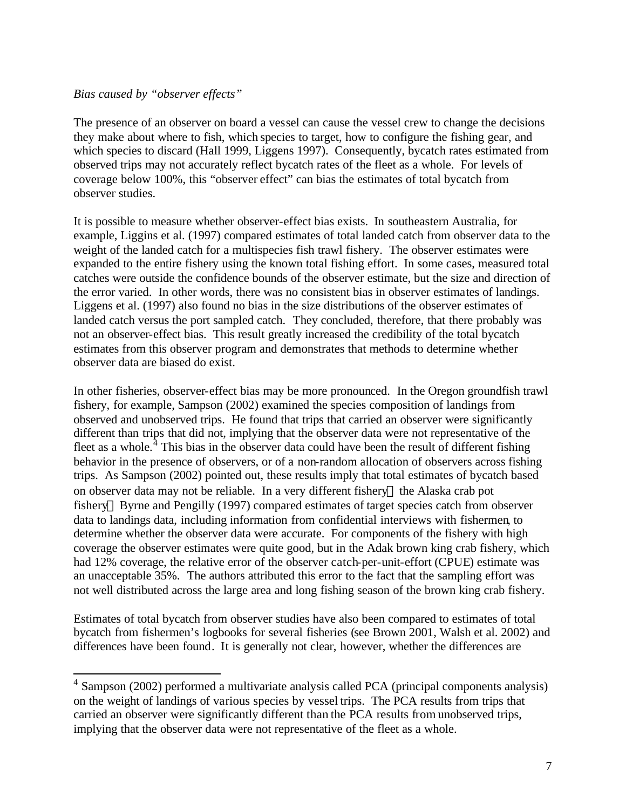### *Bias caused by "observer effects"*

 $\overline{a}$ 

The presence of an observer on board a vessel can cause the vessel crew to change the decisions they make about where to fish, which species to target, how to configure the fishing gear, and which species to discard (Hall 1999, Liggens 1997). Consequently, bycatch rates estimated from observed trips may not accurately reflect bycatch rates of the fleet as a whole. For levels of coverage below 100%, this "observer effect" can bias the estimates of total bycatch from observer studies.

It is possible to measure whether observer-effect bias exists. In southeastern Australia, for example, Liggins et al. (1997) compared estimates of total landed catch from observer data to the weight of the landed catch for a multispecies fish trawl fishery. The observer estimates were expanded to the entire fishery using the known total fishing effort. In some cases, measured total catches were outside the confidence bounds of the observer estimate, but the size and direction of the error varied. In other words, there was no consistent bias in observer estimates of landings. Liggens et al. (1997) also found no bias in the size distributions of the observer estimates of landed catch versus the port sampled catch. They concluded, therefore, that there probably was not an observer-effect bias. This result greatly increased the credibility of the total bycatch estimates from this observer program and demonstrates that methods to determine whether observer data are biased do exist.

In other fisheries, observer-effect bias may be more pronounced. In the Oregon groundfish trawl fishery, for example, Sampson (2002) examined the species composition of landings from observed and unobserved trips. He found that trips that carried an observer were significantly different than trips that did not, implying that the observer data were not representative of the fleet as a whole. $<sup>4</sup>$  This bias in the observer data could have been the result of different fishing</sup> behavior in the presence of observers, or of a non-random allocation of observers across fishing trips. As Sampson (2002) pointed out, these results imply that total estimates of bycatch based on observer data may not be reliable. In a very different fishery—the Alaska crab pot fishery—Byrne and Pengilly (1997) compared estimates of target species catch from observer data to landings data, including information from confidential interviews with fishermen, to determine whether the observer data were accurate. For components of the fishery with high coverage the observer estimates were quite good, but in the Adak brown king crab fishery, which had 12% coverage, the relative error of the observer catch-per-unit-effort (CPUE) estimate was an unacceptable 35%. The authors attributed this error to the fact that the sampling effort was not well distributed across the large area and long fishing season of the brown king crab fishery.

Estimates of total bycatch from observer studies have also been compared to estimates of total bycatch from fishermen's logbooks for several fisheries (see Brown 2001, Walsh et al. 2002) and differences have been found. It is generally not clear, however, whether the differences are

<sup>&</sup>lt;sup>4</sup> Sampson (2002) performed a multivariate analysis called PCA (principal components analysis) on the weight of landings of various species by vessel trips. The PCA results from trips that carried an observer were significantly different than the PCA results from unobserved trips, implying that the observer data were not representative of the fleet as a whole.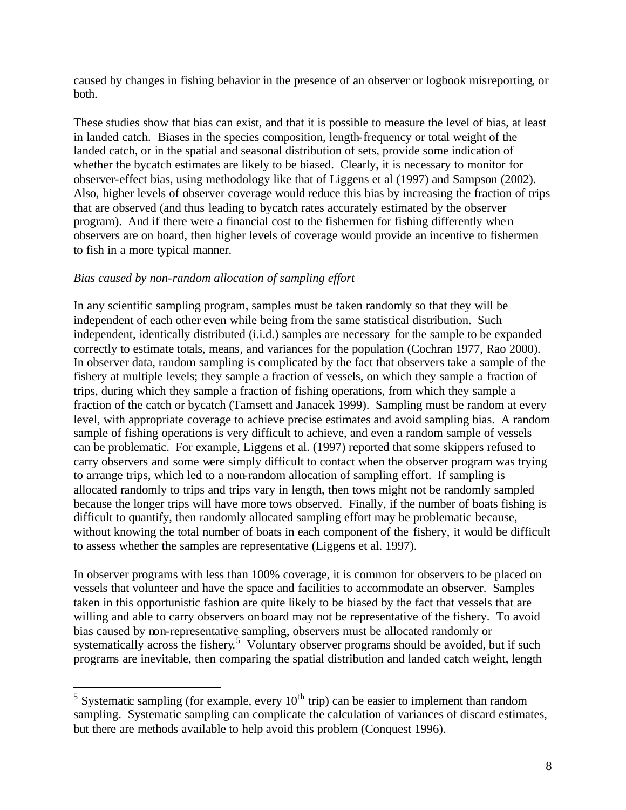caused by changes in fishing behavior in the presence of an observer or logbook misreporting, or both.

These studies show that bias can exist, and that it is possible to measure the level of bias, at least in landed catch. Biases in the species composition, length-frequency or total weight of the landed catch, or in the spatial and seasonal distribution of sets, provide some indication of whether the bycatch estimates are likely to be biased. Clearly, it is necessary to monitor for observer-effect bias, using methodology like that of Liggens et al (1997) and Sampson (2002). Also, higher levels of observer coverage would reduce this bias by increasing the fraction of trips that are observed (and thus leading to bycatch rates accurately estimated by the observer program). And if there were a financial cost to the fishermen for fishing differently when observers are on board, then higher levels of coverage would provide an incentive to fishermen to fish in a more typical manner.

#### *Bias caused by non-random allocation of sampling effort*

 $\overline{a}$ 

In any scientific sampling program, samples must be taken randomly so that they will be independent of each other even while being from the same statistical distribution. Such independent, identically distributed (i.i.d.) samples are necessary for the sample to be expanded correctly to estimate totals, means, and variances for the population (Cochran 1977, Rao 2000). In observer data, random sampling is complicated by the fact that observers take a sample of the fishery at multiple levels; they sample a fraction of vessels, on which they sample a fraction of trips, during which they sample a fraction of fishing operations, from which they sample a fraction of the catch or bycatch (Tamsett and Janacek 1999). Sampling must be random at every level, with appropriate coverage to achieve precise estimates and avoid sampling bias. A random sample of fishing operations is very difficult to achieve, and even a random sample of vessels can be problematic. For example, Liggens et al. (1997) reported that some skippers refused to carry observers and some were simply difficult to contact when the observer program was trying to arrange trips, which led to a non-random allocation of sampling effort. If sampling is allocated randomly to trips and trips vary in length, then tows might not be randomly sampled because the longer trips will have more tows observed. Finally, if the number of boats fishing is difficult to quantify, then randomly allocated sampling effort may be problematic because, without knowing the total number of boats in each component of the fishery, it would be difficult to assess whether the samples are representative (Liggens et al. 1997).

In observer programs with less than 100% coverage, it is common for observers to be placed on vessels that volunteer and have the space and facilities to accommodate an observer. Samples taken in this opportunistic fashion are quite likely to be biased by the fact that vessels that are willing and able to carry observers onboard may not be representative of the fishery. To avoid bias caused by non-representative sampling, observers must be allocated randomly or systematically across the fishery.<sup>5</sup> Voluntary observer programs should be avoided, but if such programs are inevitable, then comparing the spatial distribution and landed catch weight, length

<sup>&</sup>lt;sup>5</sup> Systematic sampling (for example, every  $10^{th}$  trip) can be easier to implement than random sampling. Systematic sampling can complicate the calculation of variances of discard estimates, but there are methods available to help avoid this problem (Conquest 1996).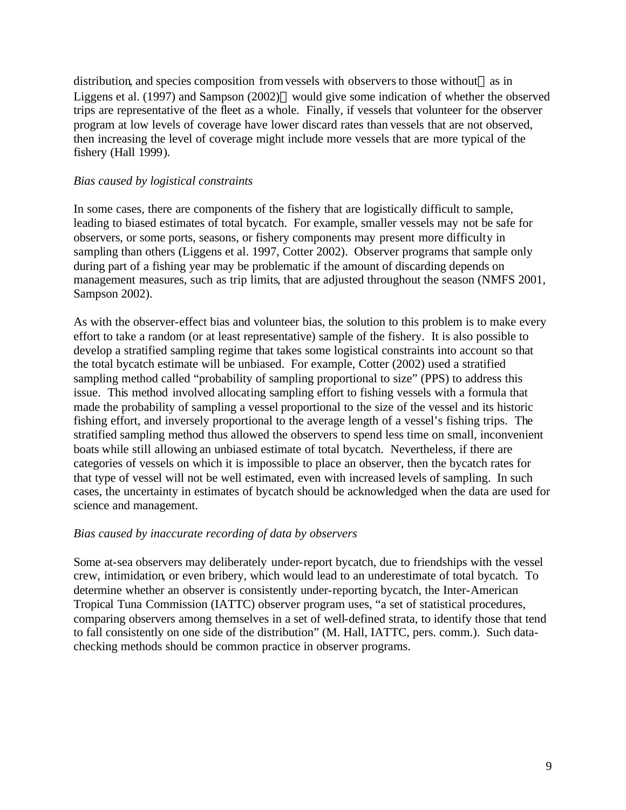distribution, and species composition from vessels with observers to those without—as in Liggens et al. (1997) and Sampson (2002)—would give some indication of whether the observed trips are representative of the fleet as a whole. Finally, if vessels that volunteer for the observer program at low levels of coverage have lower discard rates than vessels that are not observed, then increasing the level of coverage might include more vessels that are more typical of the fishery (Hall 1999).

### *Bias caused by logistical constraints*

In some cases, there are components of the fishery that are logistically difficult to sample, leading to biased estimates of total bycatch. For example, smaller vessels may not be safe for observers, or some ports, seasons, or fishery components may present more difficulty in sampling than others (Liggens et al. 1997, Cotter 2002). Observer programs that sample only during part of a fishing year may be problematic if the amount of discarding depends on management measures, such as trip limits, that are adjusted throughout the season (NMFS 2001, Sampson 2002).

As with the observer-effect bias and volunteer bias, the solution to this problem is to make every effort to take a random (or at least representative) sample of the fishery. It is also possible to develop a stratified sampling regime that takes some logistical constraints into account so that the total bycatch estimate will be unbiased. For example, Cotter (2002) used a stratified sampling method called "probability of sampling proportional to size" (PPS) to address this issue. This method involved allocating sampling effort to fishing vessels with a formula that made the probability of sampling a vessel proportional to the size of the vessel and its historic fishing effort, and inversely proportional to the average length of a vessel's fishing trips. The stratified sampling method thus allowed the observers to spend less time on small, inconvenient boats while still allowing an unbiased estimate of total bycatch. Nevertheless, if there are categories of vessels on which it is impossible to place an observer, then the bycatch rates for that type of vessel will not be well estimated, even with increased levels of sampling. In such cases, the uncertainty in estimates of bycatch should be acknowledged when the data are used for science and management.

#### *Bias caused by inaccurate recording of data by observers*

Some at-sea observers may deliberately under-report bycatch, due to friendships with the vessel crew, intimidation, or even bribery, which would lead to an underestimate of total bycatch. To determine whether an observer is consistently under-reporting bycatch, the Inter-American Tropical Tuna Commission (IATTC) observer program uses, "a set of statistical procedures, comparing observers among themselves in a set of well-defined strata, to identify those that tend to fall consistently on one side of the distribution" (M. Hall, IATTC, pers. comm.). Such datachecking methods should be common practice in observer programs.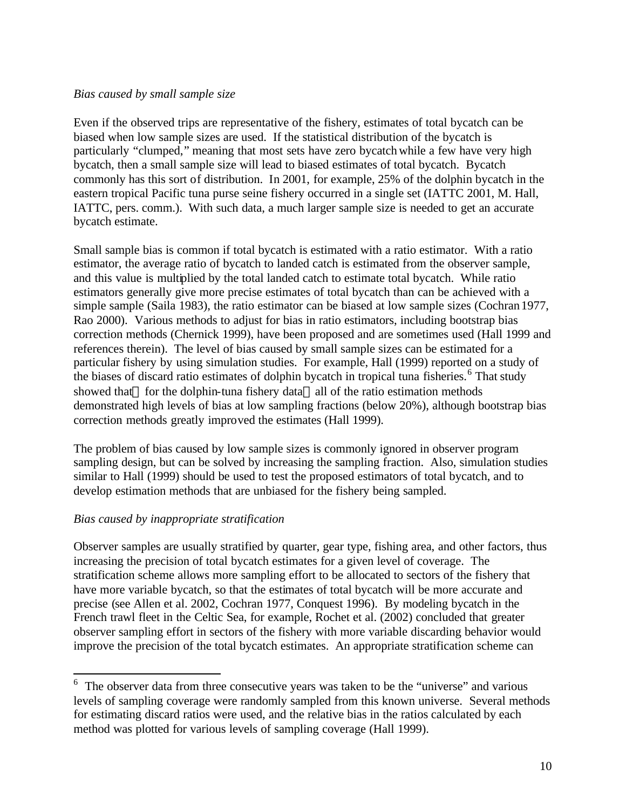### *Bias caused by small sample size*

Even if the observed trips are representative of the fishery, estimates of total bycatch can be biased when low sample sizes are used. If the statistical distribution of the bycatch is particularly "clumped," meaning that most sets have zero bycatch while a few have very high bycatch, then a small sample size will lead to biased estimates of total bycatch. Bycatch commonly has this sort of distribution. In 2001, for example, 25% of the dolphin bycatch in the eastern tropical Pacific tuna purse seine fishery occurred in a single set (IATTC 2001, M. Hall, IATTC, pers. comm.). With such data, a much larger sample size is needed to get an accurate bycatch estimate.

Small sample bias is common if total bycatch is estimated with a ratio estimator. With a ratio estimator, the average ratio of bycatch to landed catch is estimated from the observer sample, and this value is multiplied by the total landed catch to estimate total bycatch. While ratio estimators generally give more precise estimates of total bycatch than can be achieved with a simple sample (Saila 1983), the ratio estimator can be biased at low sample sizes (Cochran 1977, Rao 2000). Various methods to adjust for bias in ratio estimators, including bootstrap bias correction methods (Chernick 1999), have been proposed and are sometimes used (Hall 1999 and references therein). The level of bias caused by small sample sizes can be estimated for a particular fishery by using simulation studies. For example, Hall (1999) reported on a study of the biases of discard ratio estimates of dolphin bycatch in tropical tuna fisheries.<sup>6</sup> That study showed that—for the dolphin-tuna fishery data—all of the ratio estimation methods demonstrated high levels of bias at low sampling fractions (below 20%), although bootstrap bias correction methods greatly improved the estimates (Hall 1999).

The problem of bias caused by low sample sizes is commonly ignored in observer program sampling design, but can be solved by increasing the sampling fraction. Also, simulation studies similar to Hall (1999) should be used to test the proposed estimators of total bycatch, and to develop estimation methods that are unbiased for the fishery being sampled.

## *Bias caused by inappropriate stratification*

 $\overline{a}$ 

Observer samples are usually stratified by quarter, gear type, fishing area, and other factors, thus increasing the precision of total bycatch estimates for a given level of coverage. The stratification scheme allows more sampling effort to be allocated to sectors of the fishery that have more variable bycatch, so that the estimates of total bycatch will be more accurate and precise (see Allen et al. 2002, Cochran 1977, Conquest 1996). By modeling bycatch in the French trawl fleet in the Celtic Sea, for example, Rochet et al. (2002) concluded that greater observer sampling effort in sectors of the fishery with more variable discarding behavior would improve the precision of the total bycatch estimates. An appropriate stratification scheme can

<sup>&</sup>lt;sup>6</sup> The observer data from three consecutive years was taken to be the "universe" and various levels of sampling coverage were randomly sampled from this known universe. Several methods for estimating discard ratios were used, and the relative bias in the ratios calculated by each method was plotted for various levels of sampling coverage (Hall 1999).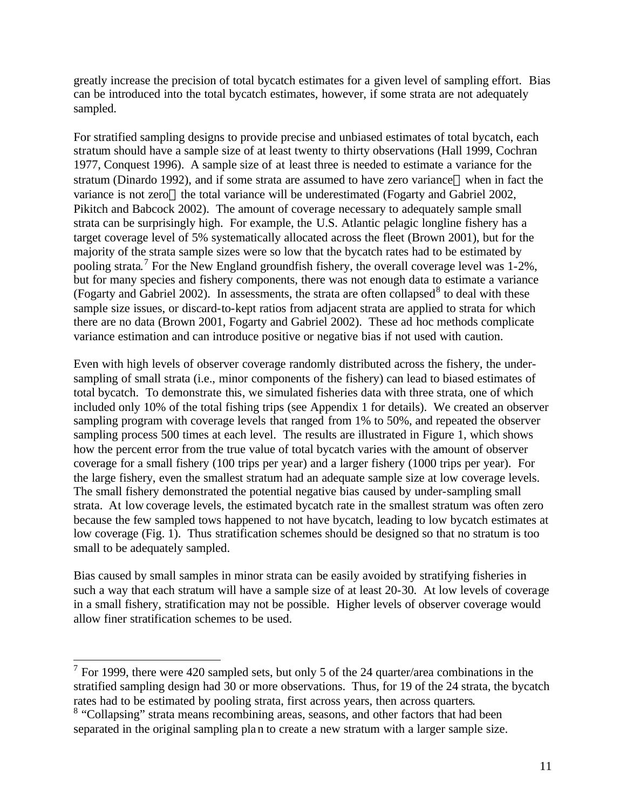greatly increase the precision of total bycatch estimates for a given level of sampling effort. Bias can be introduced into the total bycatch estimates, however, if some strata are not adequately sampled.

For stratified sampling designs to provide precise and unbiased estimates of total bycatch, each stratum should have a sample size of at least twenty to thirty observations (Hall 1999, Cochran 1977, Conquest 1996). A sample size of at least three is needed to estimate a variance for the stratum (Dinardo 1992), and if some strata are assumed to have zero variance—when in fact the variance is not zero—the total variance will be underestimated (Fogarty and Gabriel 2002, Pikitch and Babcock 2002). The amount of coverage necessary to adequately sample small strata can be surprisingly high. For example, the U.S. Atlantic pelagic longline fishery has a target coverage level of 5% systematically allocated across the fleet (Brown 2001), but for the majority of the strata sample sizes were so low that the bycatch rates had to be estimated by pooling strata.<sup>7</sup> For the New England groundfish fishery, the overall coverage level was  $1-2\%$ , but for many species and fishery components, there was not enough data to estimate a variance (Fogarty and Gabriel 2002). In assessments, the strata are often collapsed<sup>8</sup> to deal with these sample size issues, or discard-to-kept ratios from adjacent strata are applied to strata for which there are no data (Brown 2001, Fogarty and Gabriel 2002). These ad hoc methods complicate variance estimation and can introduce positive or negative bias if not used with caution.

Even with high levels of observer coverage randomly distributed across the fishery, the undersampling of small strata (i.e., minor components of the fishery) can lead to biased estimates of total bycatch. To demonstrate this, we simulated fisheries data with three strata, one of which included only 10% of the total fishing trips (see Appendix 1 for details). We created an observer sampling program with coverage levels that ranged from 1% to 50%, and repeated the observer sampling process 500 times at each level. The results are illustrated in Figure 1, which shows how the percent error from the true value of total bycatch varies with the amount of observer coverage for a small fishery (100 trips per year) and a larger fishery (1000 trips per year). For the large fishery, even the smallest stratum had an adequate sample size at low coverage levels. The small fishery demonstrated the potential negative bias caused by under-sampling small strata. At low coverage levels, the estimated bycatch rate in the smallest stratum was often zero because the few sampled tows happened to not have bycatch, leading to low bycatch estimates at low coverage (Fig. 1). Thus stratification schemes should be designed so that no stratum is too small to be adequately sampled.

Bias caused by small samples in minor strata can be easily avoided by stratifying fisheries in such a way that each stratum will have a sample size of at least 20-30. At low levels of coverage in a small fishery, stratification may not be possible. Higher levels of observer coverage would allow finer stratification schemes to be used.

<sup>&</sup>lt;sup>7</sup> For 1999, there were 420 sampled sets, but only 5 of the 24 quarter/area combinations in the stratified sampling design had 30 or more observations. Thus, for 19 of the 24 strata, the bycatch rates had to be estimated by pooling strata, first across years, then across quarters.

<sup>&</sup>lt;sup>8</sup> "Collapsing" strata means recombining areas, seasons, and other factors that had been separated in the original sampling plan to create a new stratum with a larger sample size.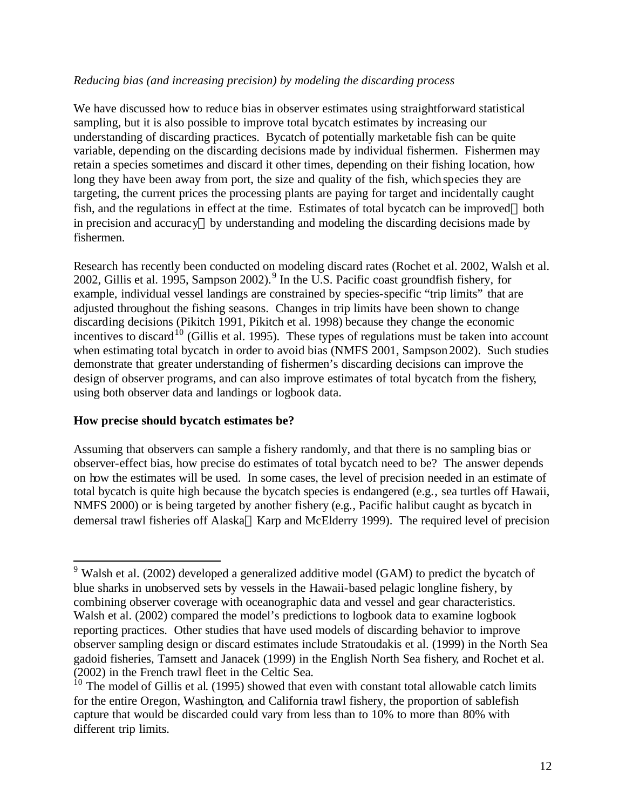### *Reducing bias (and increasing precision) by modeling the discarding process*

We have discussed how to reduce bias in observer estimates using straightforward statistical sampling, but it is also possible to improve total bycatch estimates by increasing our understanding of discarding practices. Bycatch of potentially marketable fish can be quite variable, depending on the discarding decisions made by individual fishermen. Fishermen may retain a species sometimes and discard it other times, depending on their fishing location, how long they have been away from port, the size and quality of the fish, which species they are targeting, the current prices the processing plants are paying for target and incidentally caught fish, and the regulations in effect at the time. Estimates of total bycatch can be improved—both in precision and accuracy—by understanding and modeling the discarding decisions made by fishermen.

Research has recently been conducted on modeling discard rates (Rochet et al. 2002, Walsh et al. 2002, Gillis et al. 1995, Sampson 2002).<sup>9</sup> In the U.S. Pacific coast groundfish fishery, for example, individual vessel landings are constrained by species-specific "trip limits" that are adjusted throughout the fishing seasons. Changes in trip limits have been shown to change discarding decisions (Pikitch 1991, Pikitch et al. 1998) because they change the economic incentives to discard<sup>10</sup> (Gillis et al. 1995). These types of regulations must be taken into account when estimating total bycatch in order to avoid bias (NMFS 2001, Sampson 2002). Such studies demonstrate that greater understanding of fishermen's discarding decisions can improve the design of observer programs, and can also improve estimates of total bycatch from the fishery, using both observer data and landings or logbook data.

## **How precise should bycatch estimates be?**

 $\overline{a}$ 

Assuming that observers can sample a fishery randomly, and that there is no sampling bias or observer-effect bias, how precise do estimates of total bycatch need to be? The answer depends on how the estimates will be used. In some cases, the level of precision needed in an estimate of total bycatch is quite high because the bycatch species is endangered (e.g., sea turtles off Hawaii, NMFS 2000) or is being targeted by another fishery (e.g., Pacific halibut caught as bycatch in demersal trawl fisheries off Alaska—Karp and McElderry 1999). The required level of precision

 $9$  Walsh et al. (2002) developed a generalized additive model (GAM) to predict the bycatch of blue sharks in unobserved sets by vessels in the Hawaii-based pelagic longline fishery, by combining observer coverage with oceanographic data and vessel and gear characteristics. Walsh et al. (2002) compared the model's predictions to logbook data to examine logbook reporting practices. Other studies that have used models of discarding behavior to improve observer sampling design or discard estimates include Stratoudakis et al. (1999) in the North Sea gadoid fisheries, Tamsett and Janacek (1999) in the English North Sea fishery, and Rochet et al. (2002) in the French trawl fleet in the Celtic Sea.

<sup>&</sup>lt;sup>10</sup> The model of Gillis et al. (1995) showed that even with constant total allowable catch limits for the entire Oregon, Washington, and California trawl fishery, the proportion of sablefish capture that would be discarded could vary from less than to 10% to more than 80% with different trip limits.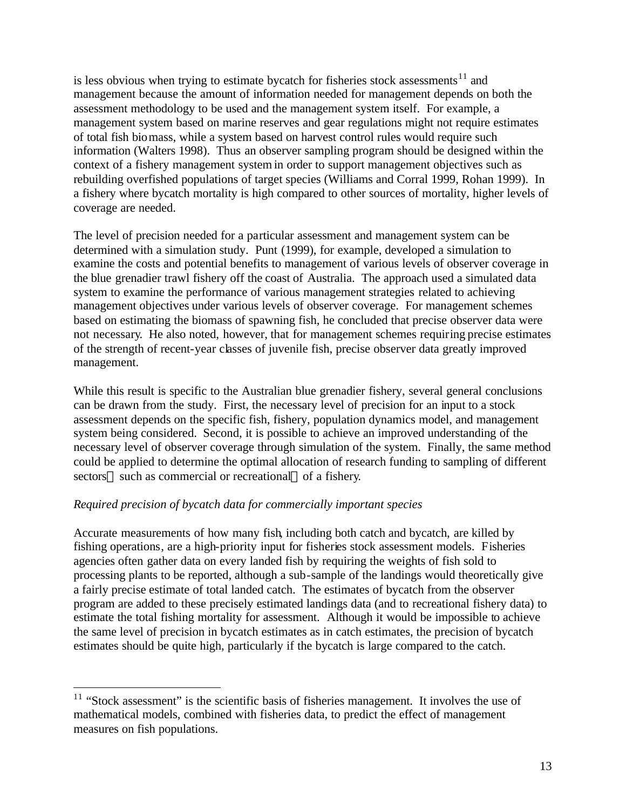is less obvious when trying to estimate bycatch for fisheries stock assessments<sup>11</sup> and management because the amount of information needed for management depends on both the assessment methodology to be used and the management system itself. For example, a management system based on marine reserves and gear regulations might not require estimates of total fish biomass, while a system based on harvest control rules would require such information (Walters 1998). Thus an observer sampling program should be designed within the context of a fishery management system in order to support management objectives such as rebuilding overfished populations of target species (Williams and Corral 1999, Rohan 1999). In a fishery where bycatch mortality is high compared to other sources of mortality, higher levels of coverage are needed.

The level of precision needed for a particular assessment and management system can be determined with a simulation study. Punt (1999), for example, developed a simulation to examine the costs and potential benefits to management of various levels of observer coverage in the blue grenadier trawl fishery off the coast of Australia. The approach used a simulated data system to examine the performance of various management strategies related to achieving management objectives under various levels of observer coverage. For management schemes based on estimating the biomass of spawning fish, he concluded that precise observer data were not necessary. He also noted, however, that for management schemes requiring precise estimates of the strength of recent-year classes of juvenile fish, precise observer data greatly improved management.

While this result is specific to the Australian blue grenadier fishery, several general conclusions can be drawn from the study. First, the necessary level of precision for an input to a stock assessment depends on the specific fish, fishery, population dynamics model, and management system being considered. Second, it is possible to achieve an improved understanding of the necessary level of observer coverage through simulation of the system. Finally, the same method could be applied to determine the optimal allocation of research funding to sampling of different sectors—such as commercial or recreational—of a fishery.

## *Required precision of bycatch data for commercially important species*

 $\overline{a}$ 

Accurate measurements of how many fish, including both catch and bycatch, are killed by fishing operations, are a high-priority input for fisheries stock assessment models. Fisheries agencies often gather data on every landed fish by requiring the weights of fish sold to processing plants to be reported, although a sub-sample of the landings would theoretically give a fairly precise estimate of total landed catch. The estimates of bycatch from the observer program are added to these precisely estimated landings data (and to recreational fishery data) to estimate the total fishing mortality for assessment. Although it would be impossible to achieve the same level of precision in bycatch estimates as in catch estimates, the precision of bycatch estimates should be quite high, particularly if the bycatch is large compared to the catch.

 $11$  "Stock assessment" is the scientific basis of fisheries management. It involves the use of mathematical models, combined with fisheries data, to predict the effect of management measures on fish populations.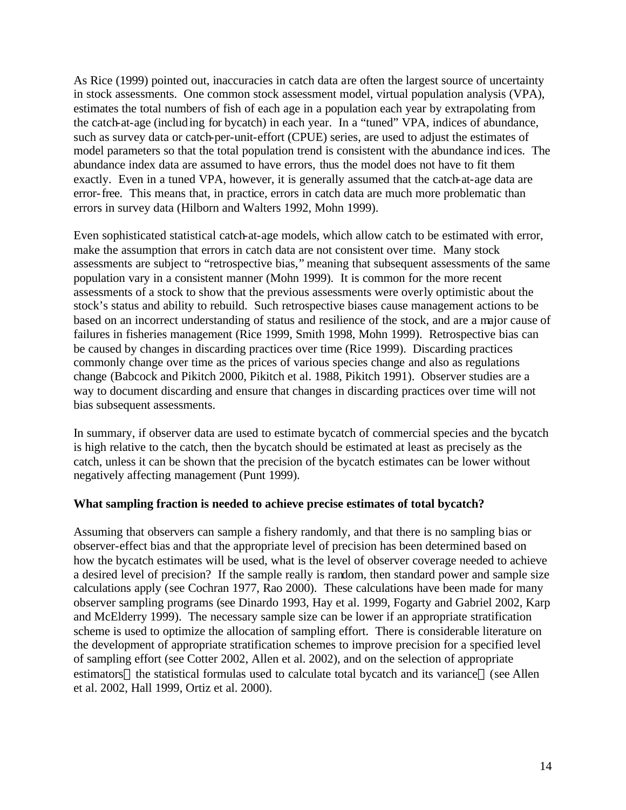As Rice (1999) pointed out, inaccuracies in catch data are often the largest source of uncertainty in stock assessments. One common stock assessment model, virtual population analysis (VPA), estimates the total numbers of fish of each age in a population each year by extrapolating from the catch-at-age (including for bycatch) in each year. In a "tuned" VPA, indices of abundance, such as survey data or catch-per-unit-effort (CPUE) series, are used to adjust the estimates of model parameters so that the total population trend is consistent with the abundance indices. The abundance index data are assumed to have errors, thus the model does not have to fit them exactly. Even in a tuned VPA, however, it is generally assumed that the catch-at-age data are error-free. This means that, in practice, errors in catch data are much more problematic than errors in survey data (Hilborn and Walters 1992, Mohn 1999).

Even sophisticated statistical catch-at-age models, which allow catch to be estimated with error, make the assumption that errors in catch data are not consistent over time. Many stock assessments are subject to "retrospective bias," meaning that subsequent assessments of the same population vary in a consistent manner (Mohn 1999). It is common for the more recent assessments of a stock to show that the previous assessments were overly optimistic about the stock's status and ability to rebuild. Such retrospective biases cause management actions to be based on an incorrect understanding of status and resilience of the stock, and are a major cause of failures in fisheries management (Rice 1999, Smith 1998, Mohn 1999). Retrospective bias can be caused by changes in discarding practices over time (Rice 1999). Discarding practices commonly change over time as the prices of various species change and also as regulations change (Babcock and Pikitch 2000, Pikitch et al. 1988, Pikitch 1991). Observer studies are a way to document discarding and ensure that changes in discarding practices over time will not bias subsequent assessments.

In summary, if observer data are used to estimate bycatch of commercial species and the bycatch is high relative to the catch, then the bycatch should be estimated at least as precisely as the catch, unless it can be shown that the precision of the bycatch estimates can be lower without negatively affecting management (Punt 1999).

#### **What sampling fraction is needed to achieve precise estimates of total bycatch?**

Assuming that observers can sample a fishery randomly, and that there is no sampling bias or observer-effect bias and that the appropriate level of precision has been determined based on how the bycatch estimates will be used, what is the level of observer coverage needed to achieve a desired level of precision? If the sample really is random, then standard power and sample size calculations apply (see Cochran 1977, Rao 2000). These calculations have been made for many observer sampling programs (see Dinardo 1993, Hay et al. 1999, Fogarty and Gabriel 2002, Karp and McElderry 1999). The necessary sample size can be lower if an appropriate stratification scheme is used to optimize the allocation of sampling effort. There is considerable literature on the development of appropriate stratification schemes to improve precision for a specified level of sampling effort (see Cotter 2002, Allen et al. 2002), and on the selection of appropriate estimators—the statistical formulas used to calculate total bycatch and its variance—(see Allen et al. 2002, Hall 1999, Ortiz et al. 2000).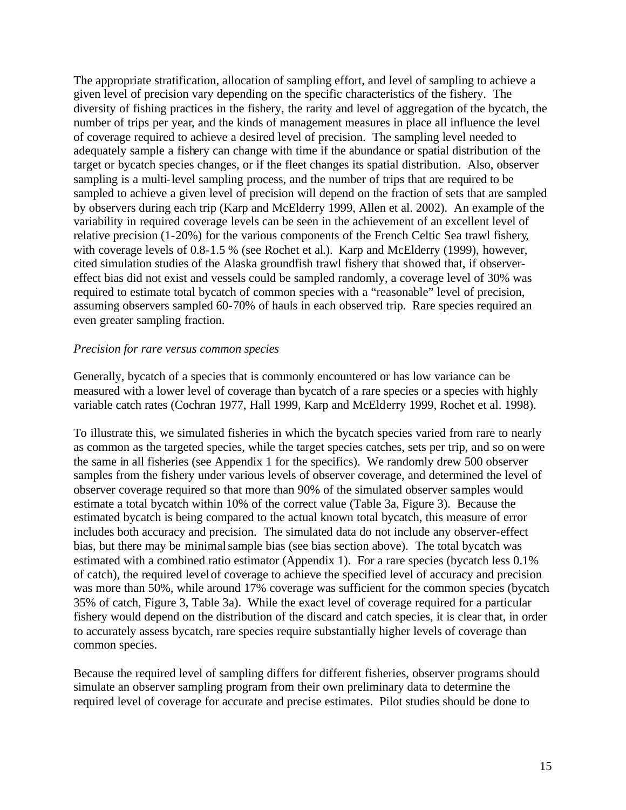The appropriate stratification, allocation of sampling effort, and level of sampling to achieve a given level of precision vary depending on the specific characteristics of the fishery. The diversity of fishing practices in the fishery, the rarity and level of aggregation of the bycatch, the number of trips per year, and the kinds of management measures in place all influence the level of coverage required to achieve a desired level of precision. The sampling level needed to adequately sample a fishery can change with time if the abundance or spatial distribution of the target or bycatch species changes, or if the fleet changes its spatial distribution. Also, observer sampling is a multi-level sampling process, and the number of trips that are required to be sampled to achieve a given level of precision will depend on the fraction of sets that are sampled by observers during each trip (Karp and McElderry 1999, Allen et al. 2002). An example of the variability in required coverage levels can be seen in the achievement of an excellent level of relative precision (1-20%) for the various components of the French Celtic Sea trawl fishery, with coverage levels of 0.8-1.5 % (see Rochet et al.). Karp and McElderry (1999), however, cited simulation studies of the Alaska groundfish trawl fishery that showed that, if observereffect bias did not exist and vessels could be sampled randomly, a coverage level of 30% was required to estimate total bycatch of common species with a "reasonable" level of precision, assuming observers sampled 60-70% of hauls in each observed trip. Rare species required an even greater sampling fraction.

#### *Precision for rare versus common species*

Generally, bycatch of a species that is commonly encountered or has low variance can be measured with a lower level of coverage than bycatch of a rare species or a species with highly variable catch rates (Cochran 1977, Hall 1999, Karp and McElderry 1999, Rochet et al. 1998).

To illustrate this, we simulated fisheries in which the bycatch species varied from rare to nearly as common as the targeted species, while the target species catches, sets per trip, and so on were the same in all fisheries (see Appendix 1 for the specifics). We randomly drew 500 observer samples from the fishery under various levels of observer coverage, and determined the level of observer coverage required so that more than 90% of the simulated observer samples would estimate a total bycatch within 10% of the correct value (Table 3a, Figure 3). Because the estimated bycatch is being compared to the actual known total bycatch, this measure of error includes both accuracy and precision. The simulated data do not include any observer-effect bias, but there may be minimal sample bias (see bias section above). The total bycatch was estimated with a combined ratio estimator (Appendix 1). For a rare species (bycatch less 0.1% of catch), the required level of coverage to achieve the specified level of accuracy and precision was more than 50%, while around 17% coverage was sufficient for the common species (bycatch 35% of catch, Figure 3, Table 3a). While the exact level of coverage required for a particular fishery would depend on the distribution of the discard and catch species, it is clear that, in order to accurately assess bycatch, rare species require substantially higher levels of coverage than common species.

Because the required level of sampling differs for different fisheries, observer programs should simulate an observer sampling program from their own preliminary data to determine the required level of coverage for accurate and precise estimates. Pilot studies should be done to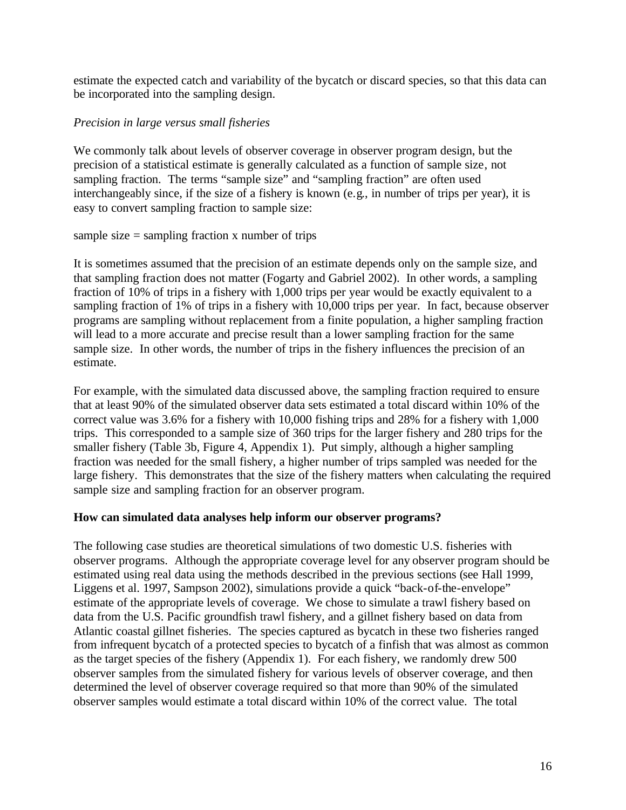estimate the expected catch and variability of the bycatch or discard species, so that this data can be incorporated into the sampling design.

## *Precision in large versus small fisheries*

We commonly talk about levels of observer coverage in observer program design, but the precision of a statistical estimate is generally calculated as a function of sample size, not sampling fraction. The terms "sample size" and "sampling fraction" are often used interchangeably since, if the size of a fishery is known (e.g., in number of trips per year), it is easy to convert sampling fraction to sample size:

sample size  $=$  sampling fraction x number of trips

It is sometimes assumed that the precision of an estimate depends only on the sample size, and that sampling fraction does not matter (Fogarty and Gabriel 2002). In other words, a sampling fraction of 10% of trips in a fishery with 1,000 trips per year would be exactly equivalent to a sampling fraction of 1% of trips in a fishery with 10,000 trips per year. In fact, because observer programs are sampling without replacement from a finite population, a higher sampling fraction will lead to a more accurate and precise result than a lower sampling fraction for the same sample size. In other words, the number of trips in the fishery influences the precision of an estimate.

For example, with the simulated data discussed above, the sampling fraction required to ensure that at least 90% of the simulated observer data sets estimated a total discard within 10% of the correct value was 3.6% for a fishery with 10,000 fishing trips and 28% for a fishery with 1,000 trips. This corresponded to a sample size of 360 trips for the larger fishery and 280 trips for the smaller fishery (Table 3b, Figure 4, Appendix 1). Put simply, although a higher sampling fraction was needed for the small fishery, a higher number of trips sampled was needed for the large fishery. This demonstrates that the size of the fishery matters when calculating the required sample size and sampling fraction for an observer program.

## **How can simulated data analyses help inform our observer programs?**

The following case studies are theoretical simulations of two domestic U.S. fisheries with observer programs. Although the appropriate coverage level for any observer program should be estimated using real data using the methods described in the previous sections (see Hall 1999, Liggens et al. 1997, Sampson 2002), simulations provide a quick "back-of-the-envelope" estimate of the appropriate levels of coverage. We chose to simulate a trawl fishery based on data from the U.S. Pacific groundfish trawl fishery, and a gillnet fishery based on data from Atlantic coastal gillnet fisheries. The species captured as bycatch in these two fisheries ranged from infrequent bycatch of a protected species to bycatch of a finfish that was almost as common as the target species of the fishery (Appendix 1). For each fishery, we randomly drew 500 observer samples from the simulated fishery for various levels of observer coverage, and then determined the level of observer coverage required so that more than 90% of the simulated observer samples would estimate a total discard within 10% of the correct value. The total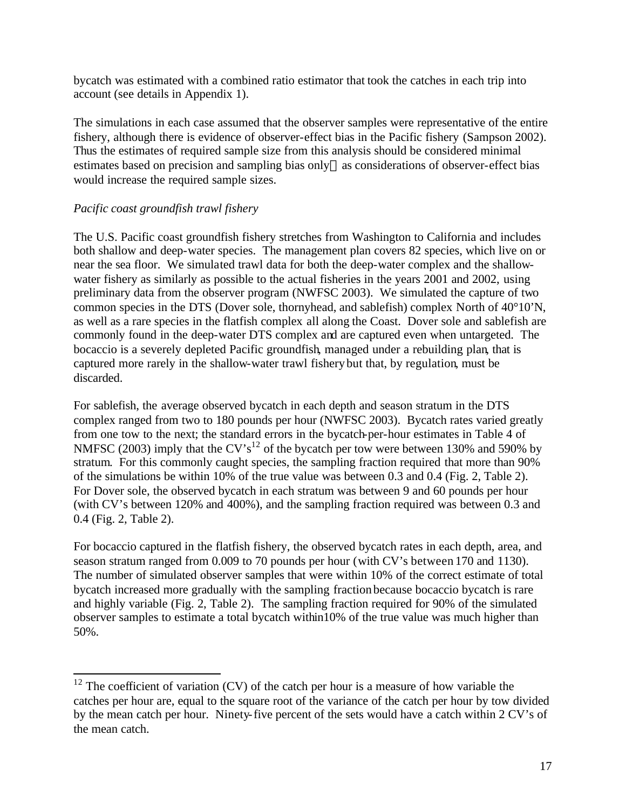bycatch was estimated with a combined ratio estimator that took the catches in each trip into account (see details in Appendix 1).

The simulations in each case assumed that the observer samples were representative of the entire fishery, although there is evidence of observer-effect bias in the Pacific fishery (Sampson 2002). Thus the estimates of required sample size from this analysis should be considered minimal estimates based on precision and sampling bias only—as considerations of observer-effect bias would increase the required sample sizes.

## *Pacific coast groundfish trawl fishery*

 $\overline{a}$ 

The U.S. Pacific coast groundfish fishery stretches from Washington to California and includes both shallow and deep-water species. The management plan covers 82 species, which live on or near the sea floor. We simulated trawl data for both the deep-water complex and the shallowwater fishery as similarly as possible to the actual fisheries in the years 2001 and 2002, using preliminary data from the observer program (NWFSC 2003). We simulated the capture of two common species in the DTS (Dover sole, thornyhead, and sablefish) complex North of 40°10'N, as well as a rare species in the flatfish complex all along the Coast. Dover sole and sablefish are commonly found in the deep-water DTS complex and are captured even when untargeted. The bocaccio is a severely depleted Pacific groundfish, managed under a rebuilding plan, that is captured more rarely in the shallow-water trawl fishery but that, by regulation, must be discarded.

For sablefish, the average observed bycatch in each depth and season stratum in the DTS complex ranged from two to 180 pounds per hour (NWFSC 2003). Bycatch rates varied greatly from one tow to the next; the standard errors in the bycatch-per-hour estimates in Table 4 of NMFSC (2003) imply that the CV's<sup>12</sup> of the bycatch per tow were between 130% and 590% by stratum. For this commonly caught species, the sampling fraction required that more than 90% of the simulations be within 10% of the true value was between 0.3 and 0.4 (Fig. 2, Table 2). For Dover sole, the observed bycatch in each stratum was between 9 and 60 pounds per hour (with CV's between 120% and 400%), and the sampling fraction required was between 0.3 and 0.4 (Fig. 2, Table 2).

For bocaccio captured in the flatfish fishery, the observed bycatch rates in each depth, area, and season stratum ranged from 0.009 to 70 pounds per hour (with CV's between 170 and 1130). The number of simulated observer samples that were within 10% of the correct estimate of total bycatch increased more gradually with the sampling fraction because bocaccio bycatch is rare and highly variable (Fig. 2, Table 2). The sampling fraction required for 90% of the simulated observer samples to estimate a total bycatch within10% of the true value was much higher than 50%.

 $12$  The coefficient of variation (CV) of the catch per hour is a measure of how variable the catches per hour are, equal to the square root of the variance of the catch per hour by tow divided by the mean catch per hour. Ninety-five percent of the sets would have a catch within 2 CV's of the mean catch.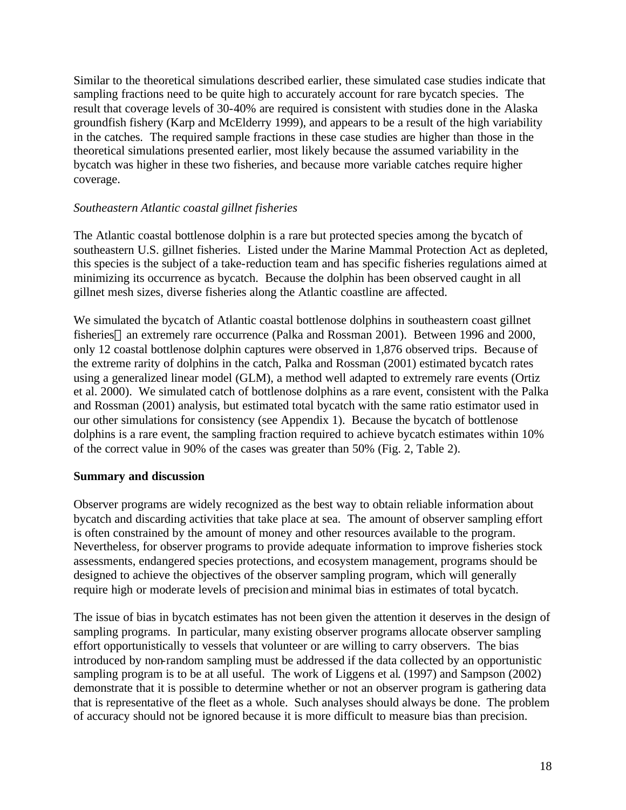Similar to the theoretical simulations described earlier, these simulated case studies indicate that sampling fractions need to be quite high to accurately account for rare bycatch species. The result that coverage levels of 30-40% are required is consistent with studies done in the Alaska groundfish fishery (Karp and McElderry 1999), and appears to be a result of the high variability in the catches. The required sample fractions in these case studies are higher than those in the theoretical simulations presented earlier, most likely because the assumed variability in the bycatch was higher in these two fisheries, and because more variable catches require higher coverage.

### *Southeastern Atlantic coastal gillnet fisheries*

The Atlantic coastal bottlenose dolphin is a rare but protected species among the bycatch of southeastern U.S. gillnet fisheries. Listed under the Marine Mammal Protection Act as depleted, this species is the subject of a take-reduction team and has specific fisheries regulations aimed at minimizing its occurrence as bycatch. Because the dolphin has been observed caught in all gillnet mesh sizes, diverse fisheries along the Atlantic coastline are affected.

We simulated the bycatch of Atlantic coastal bottlenose dolphins in southeastern coast gillnet fisheries—an extremely rare occurrence (Palka and Rossman 2001). Between 1996 and 2000, only 12 coastal bottlenose dolphin captures were observed in 1,876 observed trips. Because of the extreme rarity of dolphins in the catch, Palka and Rossman (2001) estimated bycatch rates using a generalized linear model (GLM), a method well adapted to extremely rare events (Ortiz et al. 2000). We simulated catch of bottlenose dolphins as a rare event, consistent with the Palka and Rossman (2001) analysis, but estimated total bycatch with the same ratio estimator used in our other simulations for consistency (see Appendix 1). Because the bycatch of bottlenose dolphins is a rare event, the sampling fraction required to achieve bycatch estimates within 10% of the correct value in 90% of the cases was greater than 50% (Fig. 2, Table 2).

#### **Summary and discussion**

Observer programs are widely recognized as the best way to obtain reliable information about bycatch and discarding activities that take place at sea. The amount of observer sampling effort is often constrained by the amount of money and other resources available to the program. Nevertheless, for observer programs to provide adequate information to improve fisheries stock assessments, endangered species protections, and ecosystem management, programs should be designed to achieve the objectives of the observer sampling program, which will generally require high or moderate levels of precision and minimal bias in estimates of total bycatch.

The issue of bias in bycatch estimates has not been given the attention it deserves in the design of sampling programs. In particular, many existing observer programs allocate observer sampling effort opportunistically to vessels that volunteer or are willing to carry observers. The bias introduced by non-random sampling must be addressed if the data collected by an opportunistic sampling program is to be at all useful. The work of Liggens et al. (1997) and Sampson (2002) demonstrate that it is possible to determine whether or not an observer program is gathering data that is representative of the fleet as a whole. Such analyses should always be done. The problem of accuracy should not be ignored because it is more difficult to measure bias than precision.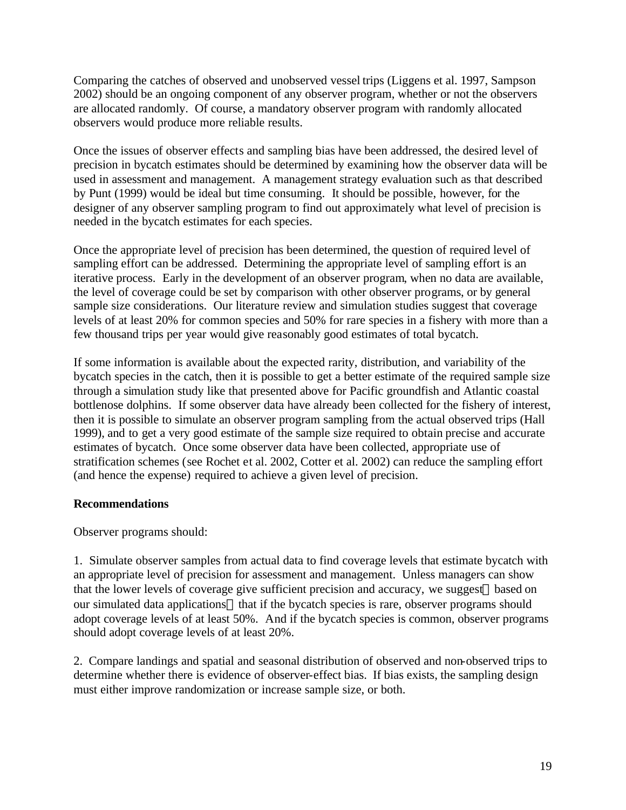Comparing the catches of observed and unobserved vessel trips (Liggens et al. 1997, Sampson 2002) should be an ongoing component of any observer program, whether or not the observers are allocated randomly. Of course, a mandatory observer program with randomly allocated observers would produce more reliable results.

Once the issues of observer effects and sampling bias have been addressed, the desired level of precision in bycatch estimates should be determined by examining how the observer data will be used in assessment and management. A management strategy evaluation such as that described by Punt (1999) would be ideal but time consuming. It should be possible, however, for the designer of any observer sampling program to find out approximately what level of precision is needed in the bycatch estimates for each species.

Once the appropriate level of precision has been determined, the question of required level of sampling effort can be addressed. Determining the appropriate level of sampling effort is an iterative process. Early in the development of an observer program, when no data are available, the level of coverage could be set by comparison with other observer programs, or by general sample size considerations. Our literature review and simulation studies suggest that coverage levels of at least 20% for common species and 50% for rare species in a fishery with more than a few thousand trips per year would give reasonably good estimates of total bycatch.

If some information is available about the expected rarity, distribution, and variability of the bycatch species in the catch, then it is possible to get a better estimate of the required sample size through a simulation study like that presented above for Pacific groundfish and Atlantic coastal bottlenose dolphins. If some observer data have already been collected for the fishery of interest, then it is possible to simulate an observer program sampling from the actual observed trips (Hall 1999), and to get a very good estimate of the sample size required to obtain precise and accurate estimates of bycatch. Once some observer data have been collected, appropriate use of stratification schemes (see Rochet et al. 2002, Cotter et al. 2002) can reduce the sampling effort (and hence the expense) required to achieve a given level of precision.

## **Recommendations**

Observer programs should:

1. Simulate observer samples from actual data to find coverage levels that estimate bycatch with an appropriate level of precision for assessment and management. Unless managers can show that the lower levels of coverage give sufficient precision and accuracy, we suggest—based on our simulated data applications—that if the bycatch species is rare, observer programs should adopt coverage levels of at least 50%. And if the bycatch species is common, observer programs should adopt coverage levels of at least 20%.

2. Compare landings and spatial and seasonal distribution of observed and non-observed trips to determine whether there is evidence of observer-effect bias. If bias exists, the sampling design must either improve randomization or increase sample size, or both.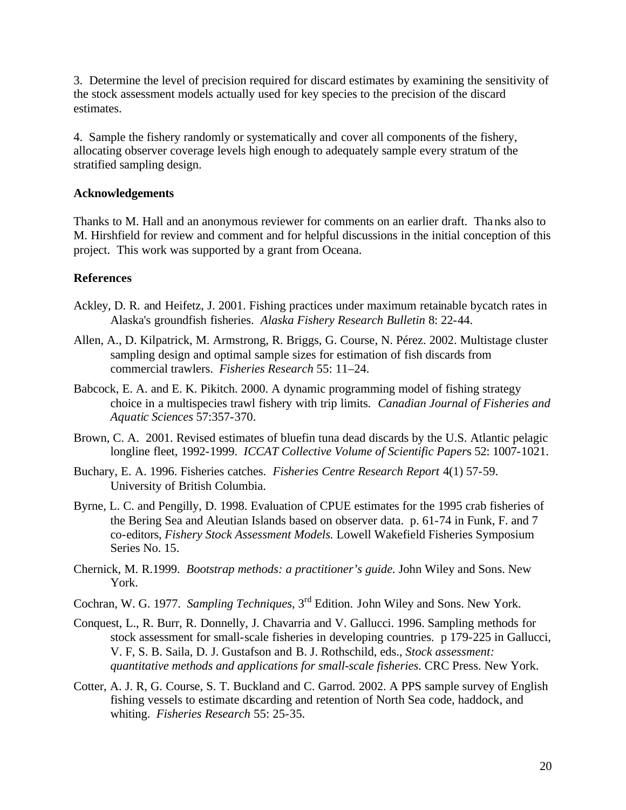3. Determine the level of precision required for discard estimates by examining the sensitivity of the stock assessment models actually used for key species to the precision of the discard estimates.

4. Sample the fishery randomly or systematically and cover all components of the fishery, allocating observer coverage levels high enough to adequately sample every stratum of the stratified sampling design.

### **Acknowledgements**

Thanks to M. Hall and an anonymous reviewer for comments on an earlier draft. Thanks also to M. Hirshfield for review and comment and for helpful discussions in the initial conception of this project. This work was supported by a grant from Oceana.

## **References**

- Ackley, D. R. and Heifetz, J. 2001. Fishing practices under maximum retainable bycatch rates in Alaska's groundfish fisheries. *Alaska Fishery Research Bulletin* 8: 22-44.
- Allen, A., D. Kilpatrick, M. Armstrong, R. Briggs, G. Course, N. Pérez. 2002. Multistage cluster sampling design and optimal sample sizes for estimation of fish discards from commercial trawlers. *Fisheries Research* 55: 11–24.
- Babcock, E. A. and E. K. Pikitch. 2000. A dynamic programming model of fishing strategy choice in a multispecies trawl fishery with trip limits. *Canadian Journal of Fisheries and Aquatic Sciences* 57:357-370.
- Brown, C. A. 2001. Revised estimates of bluefin tuna dead discards by the U.S. Atlantic pelagic longline fleet, 1992-1999. *ICCAT Collective Volume of Scientific Paper*s 52: 1007-1021.
- Buchary, E. A. 1996. Fisheries catches. *Fisheries Centre Research Report* 4(1) 57-59. University of British Columbia.
- Byrne, L. C. and Pengilly, D. 1998. Evaluation of CPUE estimates for the 1995 crab fisheries of the Bering Sea and Aleutian Islands based on observer data. p. 61-74 in Funk, F. and 7 co-editors, *Fishery Stock Assessment Models.* Lowell Wakefield Fisheries Symposium Series No. 15.
- Chernick, M. R.1999. *Bootstrap methods: a practitioner's guide.* John Wiley and Sons. New York.
- Cochran, W. G. 1977. *Sampling Techniques*, 3rd Edition. John Wiley and Sons. New York.
- Conquest, L., R. Burr, R. Donnelly, J. Chavarria and V. Gallucci. 1996. Sampling methods for stock assessment for small-scale fisheries in developing countries. p 179-225 in Gallucci, V. F, S. B. Saila, D. J. Gustafson and B. J. Rothschild, eds., *Stock assessment: quantitative methods and applications for small-scale fisheries.* CRC Press. New York.
- Cotter, A. J. R, G. Course, S. T. Buckland and C. Garrod. 2002. A PPS sample survey of English fishing vessels to estimate discarding and retention of North Sea code, haddock, and whiting. *Fisheries Research* 55: 25-35.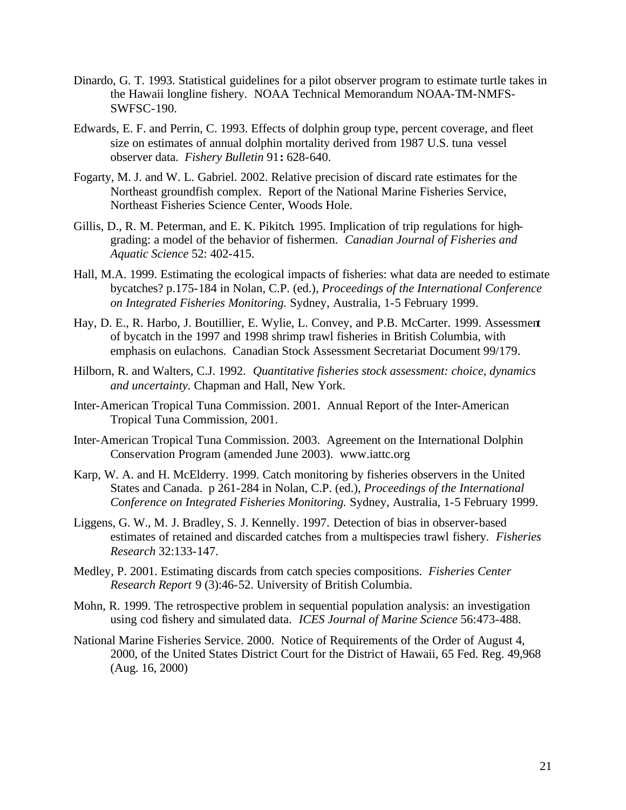- Dinardo, G. T. 1993. Statistical guidelines for a pilot observer program to estimate turtle takes in the Hawaii longline fishery. NOAA Technical Memorandum NOAA-TM-NMFS-SWFSC-190.
- Edwards, E. F. and Perrin, C. 1993. Effects of dolphin group type, percent coverage, and fleet size on estimates of annual dolphin mortality derived from 1987 U.S. tuna vessel observer data. *Fishery Bulletin* 91**:** 628-640.
- Fogarty, M. J. and W. L. Gabriel. 2002. Relative precision of discard rate estimates for the Northeast groundfish complex. Report of the National Marine Fisheries Service, Northeast Fisheries Science Center, Woods Hole.
- Gillis, D., R. M. Peterman, and E. K. Pikitch. 1995. Implication of trip regulations for highgrading: a model of the behavior of fishermen. *Canadian Journal of Fisheries and Aquatic Science* 52: 402-415.
- Hall, M.A. 1999. Estimating the ecological impacts of fisheries: what data are needed to estimate bycatches? p.175-184 in Nolan, C.P. (ed.), *Proceedings of the International Conference on Integrated Fisheries Monitoring.* Sydney, Australia, 1-5 February 1999.
- Hay, D. E., R. Harbo, J. Boutillier, E. Wylie, L. Convey, and P.B. McCarter. 1999. Assessment of bycatch in the 1997 and 1998 shrimp trawl fisheries in British Columbia, with emphasis on eulachons. Canadian Stock Assessment Secretariat Document 99/179.
- Hilborn, R. and Walters, C.J. 1992. *Quantitative fisheries stock assessment: choice, dynamics and uncertainty.* Chapman and Hall, New York.
- Inter-American Tropical Tuna Commission. 2001. Annual Report of the Inter-American Tropical Tuna Commission, 2001.
- Inter-American Tropical Tuna Commission. 2003. Agreement on the International Dolphin Conservation Program (amended June 2003). www.iattc.org
- Karp, W. A. and H. McElderry. 1999. Catch monitoring by fisheries observers in the United States and Canada. p 261-284 in Nolan, C.P. (ed.), *Proceedings of the International Conference on Integrated Fisheries Monitoring.* Sydney, Australia, 1-5 February 1999.
- Liggens, G. W., M. J. Bradley, S. J. Kennelly. 1997. Detection of bias in observer-based estimates of retained and discarded catches from a multispecies trawl fishery. *Fisheries Research* 32:133-147.
- Medley, P. 2001. Estimating discards from catch species compositions. *Fisheries Center Research Report* 9 (3):46-52. University of British Columbia.
- Mohn, R. 1999. The retrospective problem in sequential population analysis: an investigation using cod fishery and simulated data. *ICES Journal of Marine Science* 56:473-488.
- National Marine Fisheries Service. 2000. Notice of Requirements of the Order of August 4, 2000, of the United States District Court for the District of Hawaii, 65 Fed. Reg. 49,968 (Aug. 16, 2000)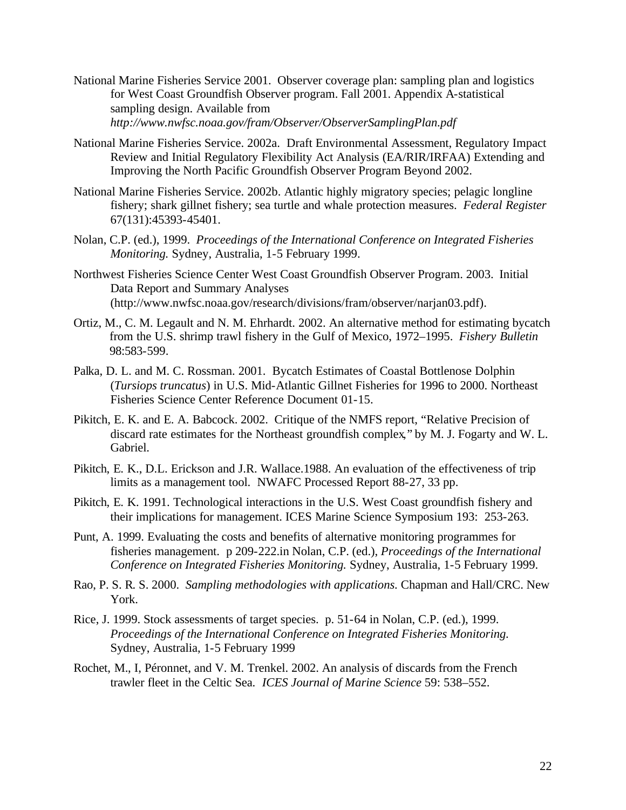- National Marine Fisheries Service 2001. Observer coverage plan: sampling plan and logistics for West Coast Groundfish Observer program. Fall 2001. Appendix A-statistical sampling design. Available from *http://www.nwfsc.noaa.gov/fram/Observer/ObserverSamplingPlan.pdf*
- National Marine Fisheries Service. 2002a. Draft Environmental Assessment, Regulatory Impact Review and Initial Regulatory Flexibility Act Analysis (EA/RIR/IRFAA) Extending and Improving the North Pacific Groundfish Observer Program Beyond 2002.
- National Marine Fisheries Service. 2002b. Atlantic highly migratory species; pelagic longline fishery; shark gillnet fishery; sea turtle and whale protection measures. *Federal Register* 67(131):45393-45401.
- Nolan, C.P. (ed.), 1999. *Proceedings of the International Conference on Integrated Fisheries Monitoring.* Sydney, Australia, 1-5 February 1999.
- Northwest Fisheries Science Center West Coast Groundfish Observer Program. 2003. Initial Data Report and Summary Analyses (http://www.nwfsc.noaa.gov/research/divisions/fram/observer/narjan03.pdf).
- Ortiz, M., C. M. Legault and N. M. Ehrhardt. 2002. An alternative method for estimating bycatch from the U.S. shrimp trawl fishery in the Gulf of Mexico, 1972–1995. *Fishery Bulletin* 98:583-599.
- Palka, D. L. and M. C. Rossman. 2001. Bycatch Estimates of Coastal Bottlenose Dolphin (*Tursiops truncatus*) in U.S. Mid-Atlantic Gillnet Fisheries for 1996 to 2000. Northeast Fisheries Science Center Reference Document 01-15.
- Pikitch, E. K. and E. A. Babcock. 2002. Critique of the NMFS report, "Relative Precision of discard rate estimates for the Northeast groundfish complex," by M. J. Fogarty and W. L. Gabriel.
- Pikitch, E. K., D.L. Erickson and J.R. Wallace.1988. An evaluation of the effectiveness of trip limits as a management tool. NWAFC Processed Report 88-27, 33 pp.
- Pikitch, E. K. 1991. Technological interactions in the U.S. West Coast groundfish fishery and their implications for management. ICES Marine Science Symposium 193: 253-263.
- Punt, A. 1999. Evaluating the costs and benefits of alternative monitoring programmes for fisheries management. p 209-222.in Nolan, C.P. (ed.), *Proceedings of the International Conference on Integrated Fisheries Monitoring.* Sydney, Australia, 1-5 February 1999.
- Rao, P. S. R. S. 2000. *Sampling methodologies with applications.* Chapman and Hall/CRC. New York.
- Rice, J. 1999. Stock assessments of target species. p. 51-64 in Nolan, C.P. (ed.), 1999. *Proceedings of the International Conference on Integrated Fisheries Monitoring.* Sydney, Australia, 1-5 February 1999
- Rochet, M., I, Péronnet, and V. M. Trenkel. 2002. An analysis of discards from the French trawler fleet in the Celtic Sea. *ICES Journal of Marine Science* 59: 538–552.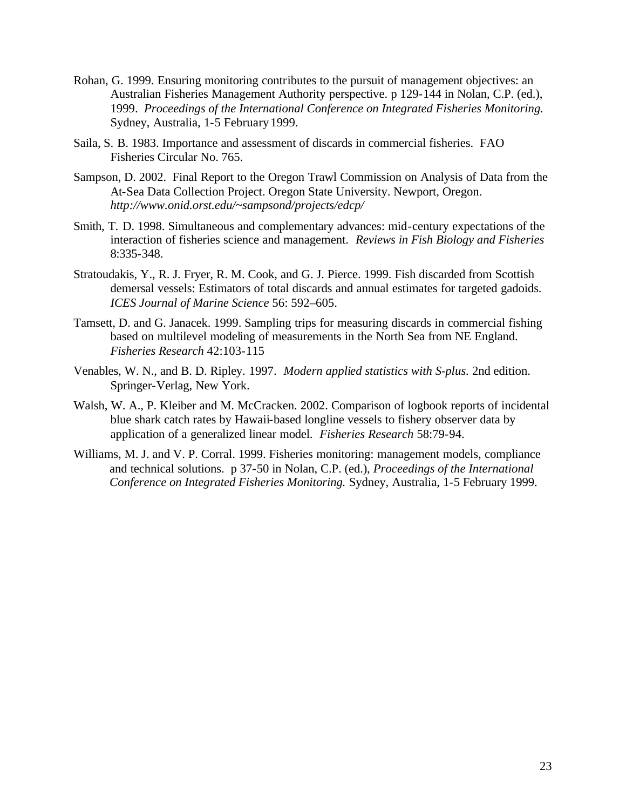- Rohan, G. 1999. Ensuring monitoring contributes to the pursuit of management objectives: an Australian Fisheries Management Authority perspective. p 129-144 in Nolan, C.P. (ed.), 1999. *Proceedings of the International Conference on Integrated Fisheries Monitoring.* Sydney, Australia, 1-5 February 1999.
- Saila, S. B. 1983. Importance and assessment of discards in commercial fisheries. FAO Fisheries Circular No. 765.
- Sampson, D. 2002. Final Report to the Oregon Trawl Commission on Analysis of Data from the At-Sea Data Collection Project. Oregon State University. Newport, Oregon. *http://www.onid.orst.edu/~sampsond/projects/edcp/*
- Smith, T. D. 1998. Simultaneous and complementary advances: mid-century expectations of the interaction of fisheries science and management. *Reviews in Fish Biology and Fisheries*  8:335-348.
- Stratoudakis, Y., R. J. Fryer, R. M. Cook, and G. J. Pierce. 1999. Fish discarded from Scottish demersal vessels: Estimators of total discards and annual estimates for targeted gadoids. *ICES Journal of Marine Science* 56: 592–605.
- Tamsett, D. and G. Janacek. 1999. Sampling trips for measuring discards in commercial fishing based on multilevel modeling of measurements in the North Sea from NE England. *Fisheries Research* 42:103-115
- Venables, W. N., and B. D. Ripley. 1997. *Modern applied statistics with S-plus.* 2nd edition. Springer-Verlag, New York.
- Walsh, W. A., P. Kleiber and M. McCracken. 2002. Comparison of logbook reports of incidental blue shark catch rates by Hawaii-based longline vessels to fishery observer data by application of a generalized linear model. *Fisheries Research* 58:79-94.
- Williams, M. J. and V. P. Corral. 1999. Fisheries monitoring: management models, compliance and technical solutions. p 37-50 in Nolan, C.P. (ed.), *Proceedings of the International Conference on Integrated Fisheries Monitoring.* Sydney, Australia, 1-5 February 1999.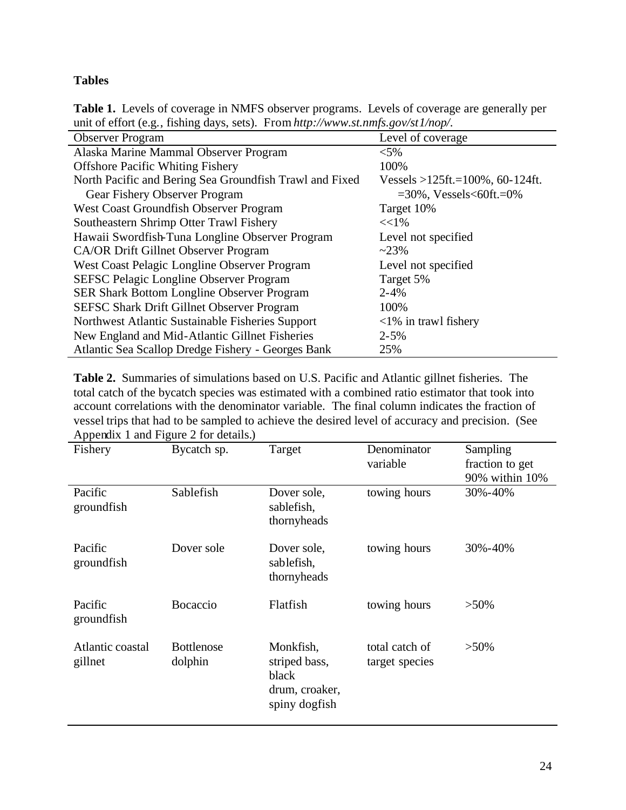## **Tables**

**Table 1.** Levels of coverage in NMFS observer programs. Levels of coverage are generally per unit of effort (e.g., fishing days, sets). From *http://www.st.nmfs.gov/st1/nop/*.

| Level of coverage                        |
|------------------------------------------|
| $< 5\%$                                  |
| 100%                                     |
| Vessels > $125$ ft.= $100\%$ , 60-124ft. |
| $=30\%$ , Vessels<60ft.=0%               |
| Target 10%                               |
| $<<$ 1%                                  |
| Level not specified                      |
| $~23\%$                                  |
| Level not specified                      |
| Target 5%                                |
| $2 - 4%$                                 |
| 100%                                     |
| $\langle 1\%$ in trawl fishery           |
| $2 - 5%$                                 |
| 25%                                      |
|                                          |

**Table 2.** Summaries of simulations based on U.S. Pacific and Atlantic gillnet fisheries. The total catch of the bycatch species was estimated with a combined ratio estimator that took into account correlations with the denominator variable. The final column indicates the fraction of vessel trips that had to be sampled to achieve the desired level of accuracy and precision. (See Appendix 1 and Figure 2 for details.)

| $\frac{1}{2}$ is present to the $\frac{1}{2}$ integer $\frac{1}{2}$ for details. |                   |                |                |                 |
|----------------------------------------------------------------------------------|-------------------|----------------|----------------|-----------------|
| Fishery                                                                          | Bycatch sp.       | Target         | Denominator    | Sampling        |
|                                                                                  |                   |                | variable       | fraction to get |
|                                                                                  |                   |                |                | 90% within 10%  |
| Pacific                                                                          | Sablefish         | Dover sole,    | towing hours   | 30%-40%         |
| groundfish                                                                       |                   | sablefish,     |                |                 |
|                                                                                  |                   | thornyheads    |                |                 |
|                                                                                  |                   |                |                |                 |
| Pacific                                                                          | Dover sole        | Dover sole,    | towing hours   | 30%-40%         |
| groundfish                                                                       |                   | sablefish,     |                |                 |
|                                                                                  |                   | thornyheads    |                |                 |
|                                                                                  |                   |                |                |                 |
| Pacific                                                                          | Bocaccio          | Flatfish       | towing hours   | $>50\%$         |
| groundfish                                                                       |                   |                |                |                 |
|                                                                                  |                   |                |                |                 |
| Atlantic coastal                                                                 | <b>Bottlenose</b> | Monkfish,      | total catch of | $>50\%$         |
| gillnet                                                                          |                   |                |                |                 |
|                                                                                  | dolphin           | striped bass,  | target species |                 |
|                                                                                  |                   | black          |                |                 |
|                                                                                  |                   | drum, croaker, |                |                 |
|                                                                                  |                   | spiny dogfish  |                |                 |
|                                                                                  |                   |                |                |                 |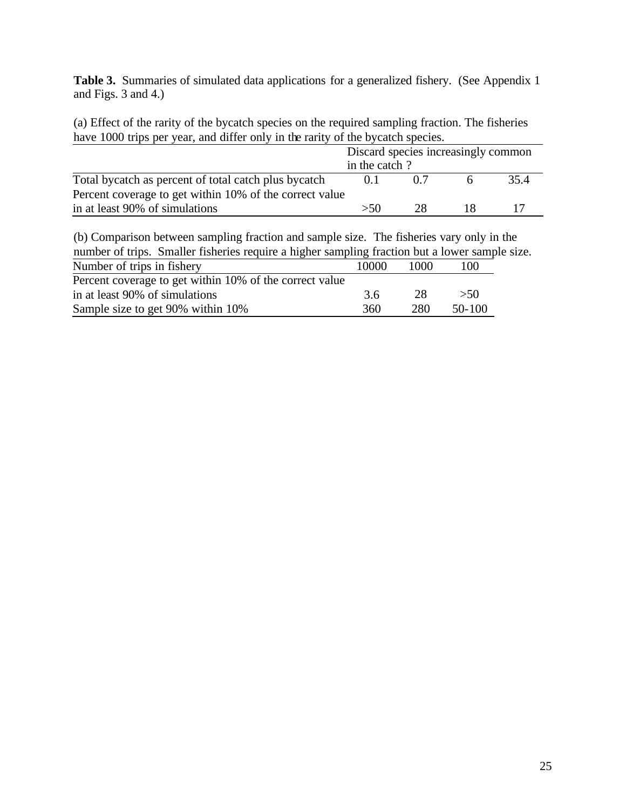Table 3. Summaries of simulated data applications for a generalized fishery. (See Appendix 1 and Figs. 3 and 4.)

(a) Effect of the rarity of the bycatch species on the required sampling fraction. The fisheries have 1000 trips per year, and differ only in the rarity of the bycatch species.

|                                                                                                                                                                                                                                                  | Discard species increasingly common<br>in the catch? |     |    |      |  |  |
|--------------------------------------------------------------------------------------------------------------------------------------------------------------------------------------------------------------------------------------------------|------------------------------------------------------|-----|----|------|--|--|
|                                                                                                                                                                                                                                                  |                                                      |     |    |      |  |  |
| Total by catch as percent of total catch plus by catch                                                                                                                                                                                           | 0.1                                                  | 0.7 | 6  | 35.4 |  |  |
| Percent coverage to get within 10% of the correct value                                                                                                                                                                                          |                                                      |     |    |      |  |  |
| in at least 90% of simulations                                                                                                                                                                                                                   | >50                                                  | 28  | 18 |      |  |  |
| (b) Comparison between sampling fraction and sample size. The fisheries vary only in the<br>number of trips. Smaller fisheries require a higher sampling fraction but a lower sample size.<br>Number of trips in fishery<br>10000<br>1000<br>100 |                                                      |     |    |      |  |  |

| Percent coverage to get within 10% of the correct value |     |     |          |
|---------------------------------------------------------|-----|-----|----------|
| in at least 90% of simulations                          | 3.6 | -28 | > 50     |
| Sample size to get 90% within 10%                       | 360 | 280 | $50-100$ |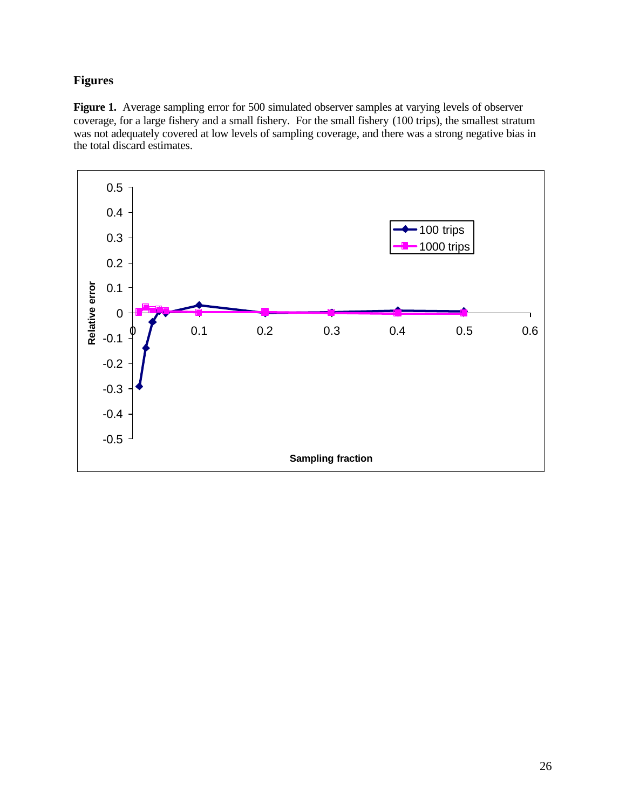## **Figures**

Figure 1. Average sampling error for 500 simulated observer samples at varying levels of observer coverage, for a large fishery and a small fishery. For the small fishery (100 trips), the smallest stratum was not adequately covered at low levels of sampling coverage, and there was a strong negative bias in the total discard estimates.

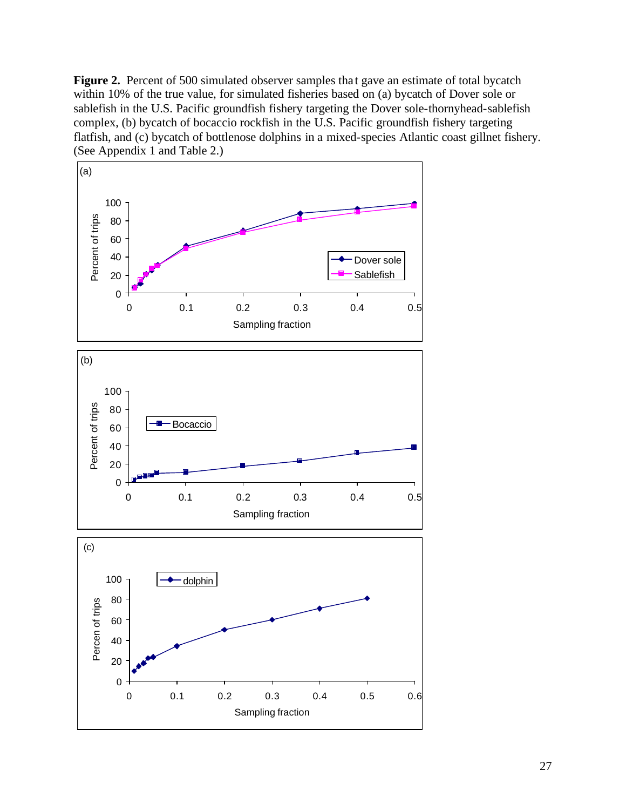**Figure 2.** Percent of 500 simulated observer samples that gave an estimate of total bycatch within 10% of the true value, for simulated fisheries based on (a) bycatch of Dover sole or sablefish in the U.S. Pacific groundfish fishery targeting the Dover sole-thornyhead-sablefish complex, (b) bycatch of bocaccio rockfish in the U.S. Pacific groundfish fishery targeting flatfish, and (c) bycatch of bottlenose dolphins in a mixed-species Atlantic coast gillnet fishery. (See Appendix 1 and Table 2.)

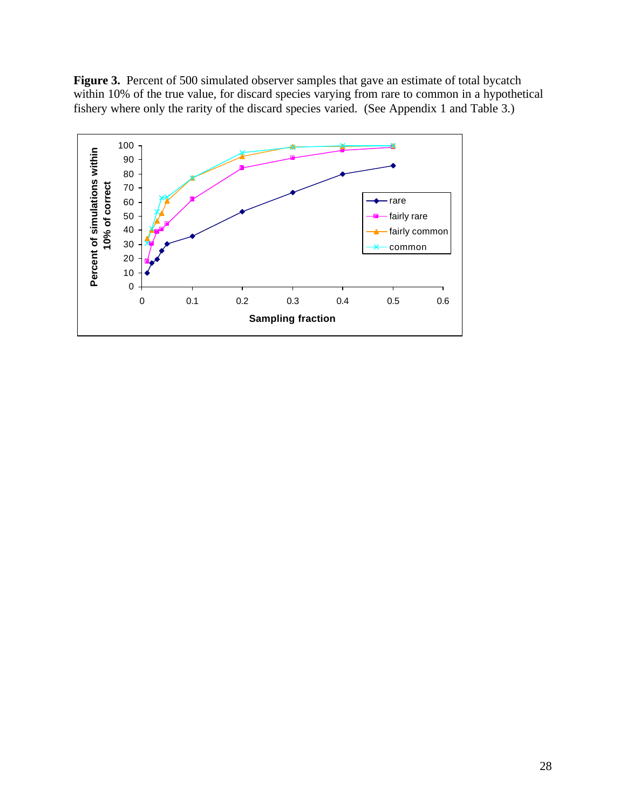Figure 3. Percent of 500 simulated observer samples that gave an estimate of total bycatch within 10% of the true value, for discard species varying from rare to common in a hypothetical fishery where only the rarity of the discard species varied. (See Appendix 1 and Table 3.)

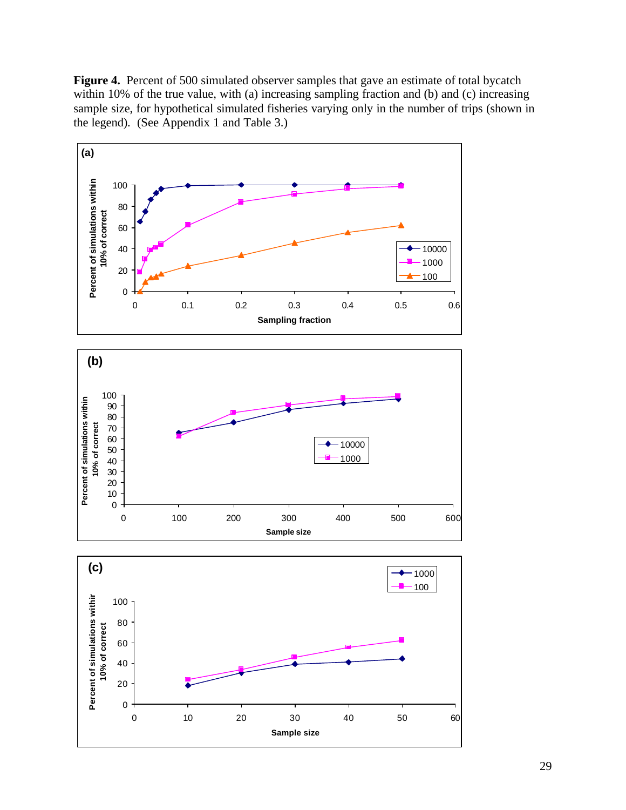**Figure 4.** Percent of 500 simulated observer samples that gave an estimate of total bycatch within 10% of the true value, with (a) increasing sampling fraction and (b) and (c) increasing sample size, for hypothetical simulated fisheries varying only in the number of trips (shown in the legend). (See Appendix 1 and Table 3.)

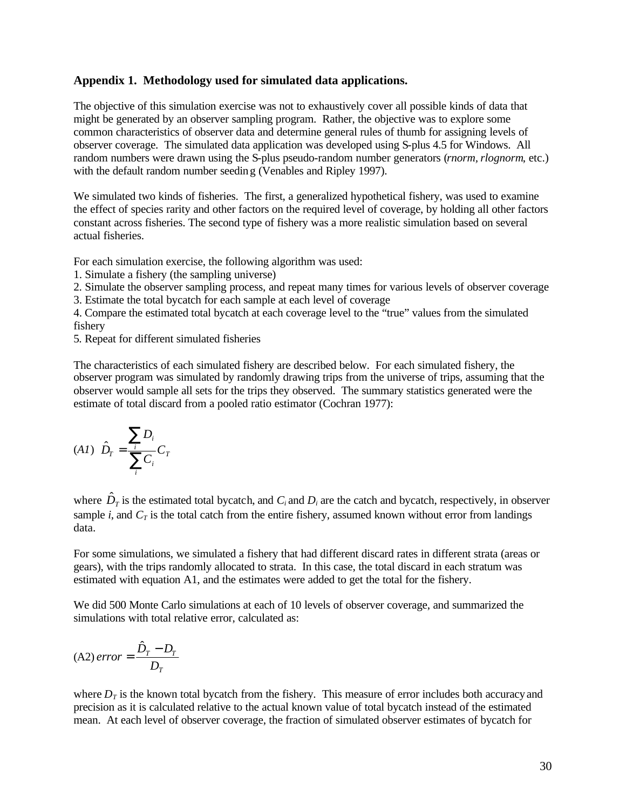#### **Appendix 1. Methodology used for simulated data applications.**

The objective of this simulation exercise was not to exhaustively cover all possible kinds of data that might be generated by an observer sampling program. Rather, the objective was to explore some common characteristics of observer data and determine general rules of thumb for assigning levels of observer coverage. The simulated data application was developed using S-plus 4.5 for Windows. All random numbers were drawn using the S-plus pseudo-random number generators (*rnorm, rlognorm*, etc.) with the default random number seeding (Venables and Ripley 1997).

We simulated two kinds of fisheries. The first, a generalized hypothetical fishery, was used to examine the effect of species rarity and other factors on the required level of coverage, by holding all other factors constant across fisheries. The second type of fishery was a more realistic simulation based on several actual fisheries.

For each simulation exercise, the following algorithm was used:

1. Simulate a fishery (the sampling universe)

2. Simulate the observer sampling process, and repeat many times for various levels of observer coverage

3. Estimate the total bycatch for each sample at each level of coverage

4. Compare the estimated total bycatch at each coverage level to the "true" values from the simulated fishery

5. Repeat for different simulated fisheries

The characteristics of each simulated fishery are described below. For each simulated fishery, the observer program was simulated by randomly drawing trips from the universe of trips, assuming that the observer would sample all sets for the trips they observed. The summary statistics generated were the estimate of total discard from a pooled ratio estimator (Cochran 1977):

$$
(A1) \hat{D}_T = \frac{\sum_i D_i}{\sum_i C_i} C_T
$$

where  $\hat{D}_T$  is the estimated total bycatch, and  $C_i$  and  $D_i$  are the catch and bycatch, respectively, in observer sample *i*, and  $C_T$  is the total catch from the entire fishery, assumed known without error from landings data.

For some simulations, we simulated a fishery that had different discard rates in different strata (areas or gears), with the trips randomly allocated to strata. In this case, the total discard in each stratum was estimated with equation A1, and the estimates were added to get the total for the fishery.

We did 500 Monte Carlo simulations at each of 10 levels of observer coverage, and summarized the simulations with total relative error, calculated as:

$$
(A2) error = \frac{\hat{D}_T - D_T}{D_T}
$$

where  $D<sub>T</sub>$  is the known total bycatch from the fishery. This measure of error includes both accuracy and precision as it is calculated relative to the actual known value of total bycatch instead of the estimated mean. At each level of observer coverage, the fraction of simulated observer estimates of bycatch for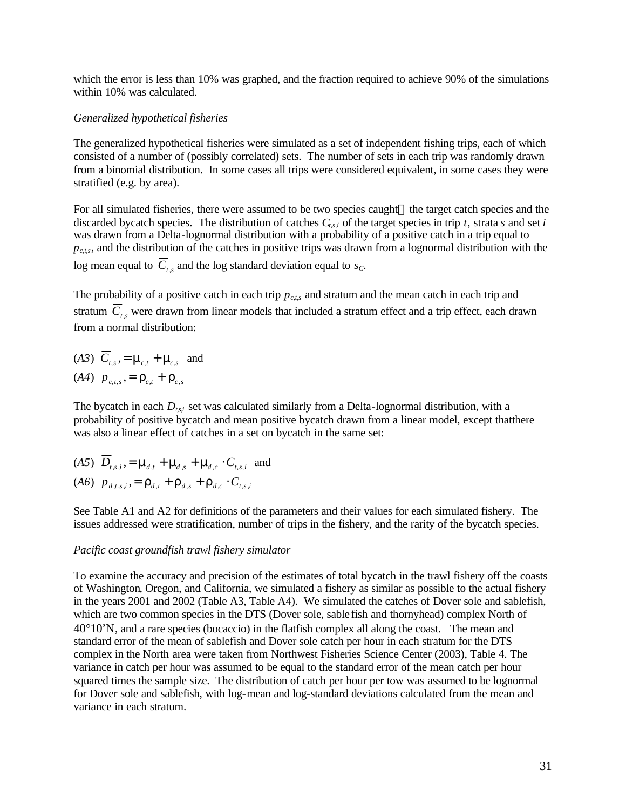which the error is less than 10% was graphed, and the fraction required to achieve 90% of the simulations within 10% was calculated.

#### *Generalized hypothetical fisheries*

The generalized hypothetical fisheries were simulated as a set of independent fishing trips, each of which consisted of a number of (possibly correlated) sets. The number of sets in each trip was randomly drawn from a binomial distribution. In some cases all trips were considered equivalent, in some cases they were stratified (e.g. by area).

For all simulated fisheries, there were assumed to be two species caught—the target catch species and the discarded bycatch species. The distribution of catches *Ct,s,i* of the target species in trip *t*, strata *s* and set *i*  was drawn from a Delta-lognormal distribution with a probability of a positive catch in a trip equal to  $p_{\text{c},ts}$ , and the distribution of the catches in positive trips was drawn from a lognormal distribution with the log mean equal to  $C_{t,s}$  and the log standard deviation equal to  $s_c$ .

The probability of a positive catch in each trip *pc,t,s* and stratum and the mean catch in each trip and stratum  $\overline{C}_{t,s}$  were drawn from linear models that included a stratum effect and a trip effect, each drawn from a normal distribution:

(*A3*)  $C_{t,s}$ ,  $=$   $m_{c,t}$   $+$   $m_{c,s}$  and  $(A4)$   $p_{c,t,s} = r_{c,t} + r_{c,s}$ 

The bycatch in each *Dt,s,i* set was calculated similarly from a Delta-lognormal distribution, with a probability of positive bycatch and mean positive bycatch drawn from a linear model, except thatthere was also a linear effect of catches in a set on bycatch in the same set:

 $(A5)$   $D_{t,s,i}$ ,  $=$   $\mathbf{m}_{d,t}$   $+$   $\mathbf{m}_{d,s}$   $+$   $\mathbf{m}_{d,c}$   $\cdot$   $C_{t,s,i}$  and  $(A6)$   $p_{d,t,s,i} = r_{d,t} + r_{d,s} + r_{d,c} \cdot C_{t,s,i}$ 

See Table A1 and A2 for definitions of the parameters and their values for each simulated fishery. The issues addressed were stratification, number of trips in the fishery, and the rarity of the bycatch species.

#### *Pacific coast groundfish trawl fishery simulator*

To examine the accuracy and precision of the estimates of total bycatch in the trawl fishery off the coasts of Washington, Oregon, and California, we simulated a fishery as similar as possible to the actual fishery in the years 2001 and 2002 (Table A3, Table A4). We simulated the catches of Dover sole and sablefish, which are two common species in the DTS (Dover sole, sable fish and thornyhead) complex North of  $40^{\circ}10^{\circ}$ N, and a rare species (bocaccio) in the flatfish complex all along the coast. The mean and standard error of the mean of sablefish and Dover sole catch per hour in each stratum for the DTS complex in the North area were taken from Northwest Fisheries Science Center (2003), Table 4. The variance in catch per hour was assumed to be equal to the standard error of the mean catch per hour squared times the sample size. The distribution of catch per hour per tow was assumed to be lognormal for Dover sole and sablefish, with log-mean and log-standard deviations calculated from the mean and variance in each stratum.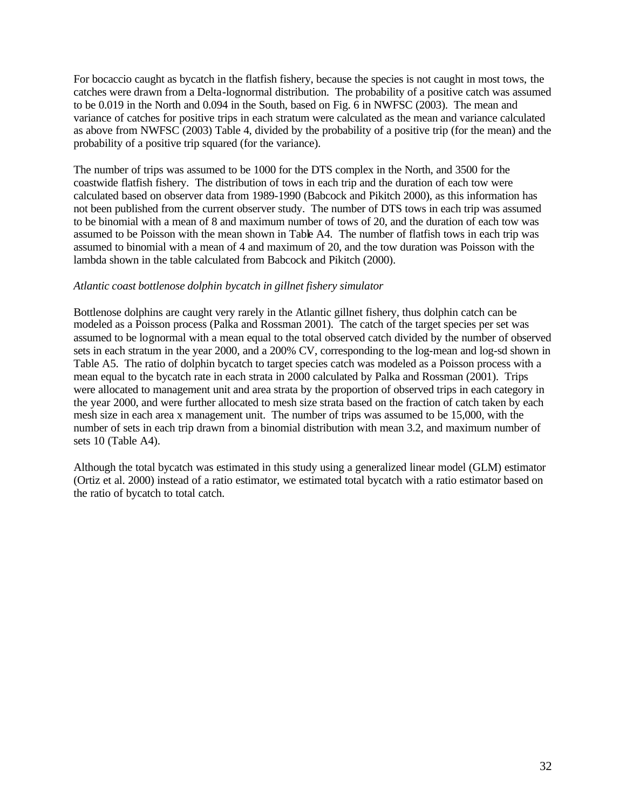For bocaccio caught as bycatch in the flatfish fishery, because the species is not caught in most tows, the catches were drawn from a Delta-lognormal distribution. The probability of a positive catch was assumed to be 0.019 in the North and 0.094 in the South, based on Fig. 6 in NWFSC (2003). The mean and variance of catches for positive trips in each stratum were calculated as the mean and variance calculated as above from NWFSC (2003) Table 4, divided by the probability of a positive trip (for the mean) and the probability of a positive trip squared (for the variance).

The number of trips was assumed to be 1000 for the DTS complex in the North, and 3500 for the coastwide flatfish fishery. The distribution of tows in each trip and the duration of each tow were calculated based on observer data from 1989-1990 (Babcock and Pikitch 2000), as this information has not been published from the current observer study. The number of DTS tows in each trip was assumed to be binomial with a mean of 8 and maximum number of tows of 20, and the duration of each tow was assumed to be Poisson with the mean shown in Table A4. The number of flatfish tows in each trip was assumed to binomial with a mean of 4 and maximum of 20, and the tow duration was Poisson with the lambda shown in the table calculated from Babcock and Pikitch (2000).

#### *Atlantic coast bottlenose dolphin bycatch in gillnet fishery simulator*

Bottlenose dolphins are caught very rarely in the Atlantic gillnet fishery, thus dolphin catch can be modeled as a Poisson process (Palka and Rossman 2001). The catch of the target species per set was assumed to be lognormal with a mean equal to the total observed catch divided by the number of observed sets in each stratum in the year 2000, and a 200% CV, corresponding to the log-mean and log-sd shown in Table A5. The ratio of dolphin bycatch to target species catch was modeled as a Poisson process with a mean equal to the bycatch rate in each strata in 2000 calculated by Palka and Rossman (2001). Trips were allocated to management unit and area strata by the proportion of observed trips in each category in the year 2000, and were further allocated to mesh size strata based on the fraction of catch taken by each mesh size in each area x management unit. The number of trips was assumed to be 15,000, with the number of sets in each trip drawn from a binomial distribution with mean 3.2, and maximum number of sets 10 (Table A4).

Although the total bycatch was estimated in this study using a generalized linear model (GLM) estimator (Ortiz et al. 2000) instead of a ratio estimator, we estimated total bycatch with a ratio estimator based on the ratio of bycatch to total catch.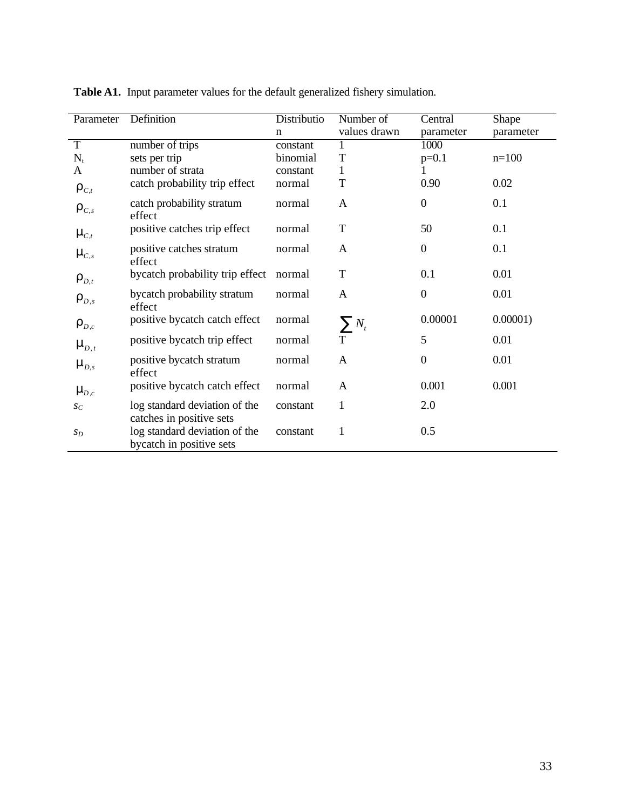| Parameter          | Definition                                                | Distributio | Number of    | Central          | Shape       |
|--------------------|-----------------------------------------------------------|-------------|--------------|------------------|-------------|
|                    |                                                           | $\mathbf n$ | values drawn | parameter        | parameter   |
| $\overline{T}$     | number of trips                                           | constant    |              | 1000             |             |
| $N_t$              | sets per trip                                             | binomial    | T            | $p=0.1$          | $n=100$     |
| A                  | number of strata                                          | constant    | 1            |                  |             |
| $\bm{r}_{c,t}$     | catch probability trip effect                             | normal      | T            | 0.90             | 0.02        |
| $\bm{r}_{c,s}$     | catch probability stratum<br>effect                       | normal      | A            | $\boldsymbol{0}$ | 0.1         |
| $m_{C,t}$          | positive catches trip effect                              | normal      | $\mathbf T$  | 50               | 0.1         |
| $m_{C,s}$          | positive catches stratum<br>effect                        | normal      | A            | $\boldsymbol{0}$ | 0.1         |
| $\bm{r}_{D,t}$     | bycatch probability trip effect                           | normal      | $\mathbf T$  | 0.1              | 0.01        |
| $\bm{r}_{D,s}$     | bycatch probability stratum<br>effect                     | normal      | A            | $\boldsymbol{0}$ | 0.01        |
| $\bm{r}_{p,c}$     | positive bycatch catch effect                             | normal      | $\sum N_t$   | 0.00001          | $0.00001$ ) |
| $\mathbf{m}_{D,t}$ | positive bycatch trip effect                              | normal      | $\mathbf T$  | 5                | 0.01        |
| $\mathbf{m}_{D,s}$ | positive bycatch stratum<br>effect                        | normal      | A            | $\boldsymbol{0}$ | 0.01        |
| $\mathbf{m}_{D,c}$ | positive bycatch catch effect                             | normal      | A            | 0.001            | 0.001       |
| $S_C$              | log standard deviation of the<br>catches in positive sets | constant    | 1            | 2.0              |             |
| $S_D$              | log standard deviation of the<br>bycatch in positive sets | constant    | $\mathbf{1}$ | 0.5              |             |

**Table A1.** Input parameter values for the default generalized fishery simulation.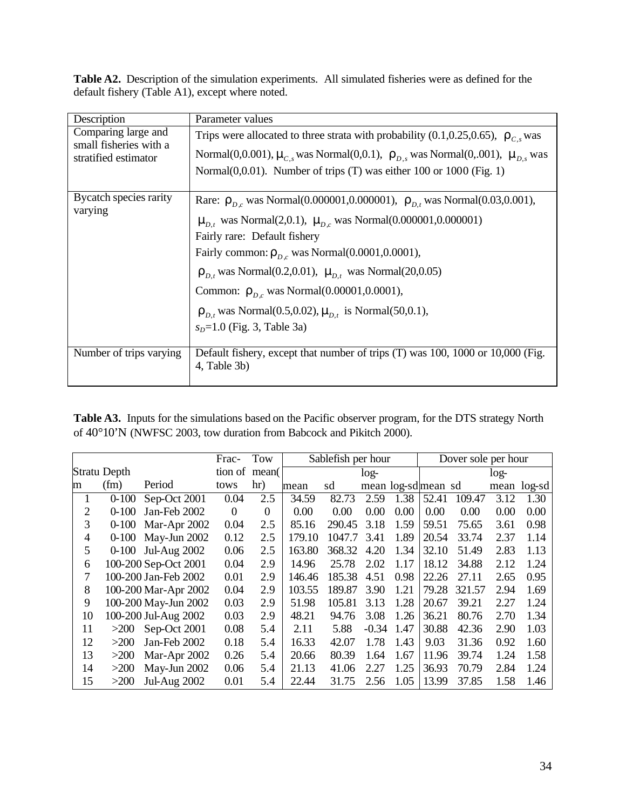**Table A2.** Description of the simulation experiments. All simulated fisheries were as defined for the default fishery (Table A1), except where noted.

| Description                                                           | Parameter values                                                                                                                                                                                                                                                                                                                                                                                                                                                                      |
|-----------------------------------------------------------------------|---------------------------------------------------------------------------------------------------------------------------------------------------------------------------------------------------------------------------------------------------------------------------------------------------------------------------------------------------------------------------------------------------------------------------------------------------------------------------------------|
| Comparing large and<br>small fisheries with a<br>stratified estimator | Trips were allocated to three strata with probability (0.1,0.25,0.65), $r_{c,s}$ was<br>Normal(0,0.001), $\mathbf{m}_{C,s}$ was Normal(0,0.1), $\mathbf{r}_{D,s}$ was Normal(0,.001), $\mathbf{m}_{D,s}$ was<br>Normal $(0,0.01)$ . Number of trips (T) was either 100 or 1000 (Fig. 1)                                                                                                                                                                                               |
| Bycatch species rarity<br>varying                                     | Rare: $r_{p,c}$ was Normal(0.000001,0.000001), $r_{p,t}$ was Normal(0.03,0.001),<br>$\mathbf{m}_{p,t}$ was Normal(2,0.1), $\mathbf{m}_{p,c}$ was Normal(0.000001,0.000001)<br>Fairly rare: Default fishery<br>Fairly common: $r_{D,c}$ was Normal(0.0001,0.0001),<br>$r_{D,t}$ was Normal(0.2,0.01), $m_{D,t}$ was Normal(20,0.05)<br>Common: $r_{p,c}$ was Normal(0.00001,0.0001),<br>$r_{D,t}$ was Normal(0.5,0.02), $m_{D,t}$ is Normal(50,0.1),<br>$s_D = 1.0$ (Fig. 3, Table 3a) |
| Number of trips varying                                               | Default fishery, except that number of trips (T) was 100, 1000 or 10,000 (Fig.<br>4, Table 3b)                                                                                                                                                                                                                                                                                                                                                                                        |

**Table A3.** Inputs for the simulations based on the Pacific observer program, for the DTS strategy North of 40°10'N (NWFSC 2003, tow duration from Babcock and Pikitch 2000).

|    |              |                      | Frac-    | Tow      |        | Sablefish per hour |         |                     |       | Dover sole per hour |        |             |
|----|--------------|----------------------|----------|----------|--------|--------------------|---------|---------------------|-------|---------------------|--------|-------------|
|    | Stratu Depth |                      | tion of  | mean(    |        |                    | $log-$  |                     |       |                     | $log-$ |             |
| m  | (fm)         | Period               | tows     | hr)      | mean   | sd                 |         | mean log-sd mean sd |       |                     |        | mean log-sd |
| 1  | $0 - 100$    | Sep-Oct 2001         | 0.04     | 2.5      | 34.59  | 82.73              | 2.59    | 1.38                | 52.41 | 109.47              | 3.12   | 1.30        |
| 2  | $0-100$      | Jan-Feb 2002         | $\Omega$ | $\Omega$ | 0.00   | 0.00               | 0.00    | 0.00                | 0.00  | 0.00                | 0.00   | 0.00        |
| 3  | $0 - 100$    | Mar-Apr 2002         | 0.04     | 2.5      | 85.16  | 290.45             | 3.18    | 1.59                | 59.51 | 75.65               | 3.61   | 0.98        |
| 4  |              | 0-100 May-Jun 2002   | 0.12     | 2.5      | 179.10 | 1047.7             | 3.41    | 1.89                | 20.54 | 33.74               | 2.37   | 1.14        |
| 5  |              | 0-100 Jul-Aug 2002   | 0.06     | 2.5      | 163.80 | 368.32             | 4.20    | 1.34                | 32.10 | 51.49               | 2.83   | 1.13        |
| 6  |              | 100-200 Sep-Oct 2001 | 0.04     | 2.9      | 14.96  | 25.78              | 2.02    | 1.17                | 18.12 | 34.88               | 2.12   | 1.24        |
| 7  |              | 100-200 Jan-Feb 2002 | 0.01     | 2.9      | 146.46 | 185.38             | 4.51    | 0.98                | 22.26 | 27.11               | 2.65   | 0.95        |
| 8  |              | 100-200 Mar-Apr 2002 | 0.04     | 2.9      | 103.55 | 189.87             | 3.90    | 1.21                | 79.28 | 321.57              | 2.94   | 1.69        |
| 9  |              | 100-200 May-Jun 2002 | 0.03     | 2.9      | 51.98  | 105.81             | 3.13    | 1.28                | 20.67 | 39.21               | 2.27   | 1.24        |
| 10 |              | 100-200 Jul-Aug 2002 | 0.03     | 2.9      | 48.21  | 94.76              | 3.08    | 1.26                | 36.21 | 80.76               | 2.70   | 1.34        |
| 11 | >200         | Sep-Oct 2001         | 0.08     | 5.4      | 2.11   | 5.88               | $-0.34$ | 1.47                | 30.88 | 42.36               | 2.90   | 1.03        |
| 12 | >200         | Jan-Feb 2002         | 0.18     | 5.4      | 16.33  | 42.07              | 1.78    | 1.43                | 9.03  | 31.36               | 0.92   | 1.60        |
| 13 | $>200$       | Mar-Apr 2002         | 0.26     | 5.4      | 20.66  | 80.39              | 1.64    | 1.67                | 11.96 | 39.74               | 1.24   | 1.58        |
| 14 | >200         | May-Jun 2002         | 0.06     | 5.4      | 21.13  | 41.06              | 2.27    | 1.25                | 36.93 | 70.79               | 2.84   | 1.24        |
| 15 | >200         | <b>Jul-Aug 2002</b>  | 0.01     | 5.4      | 22.44  | 31.75              | 2.56    | 1.05                | 13.99 | 37.85               | 1.58   | 1.46        |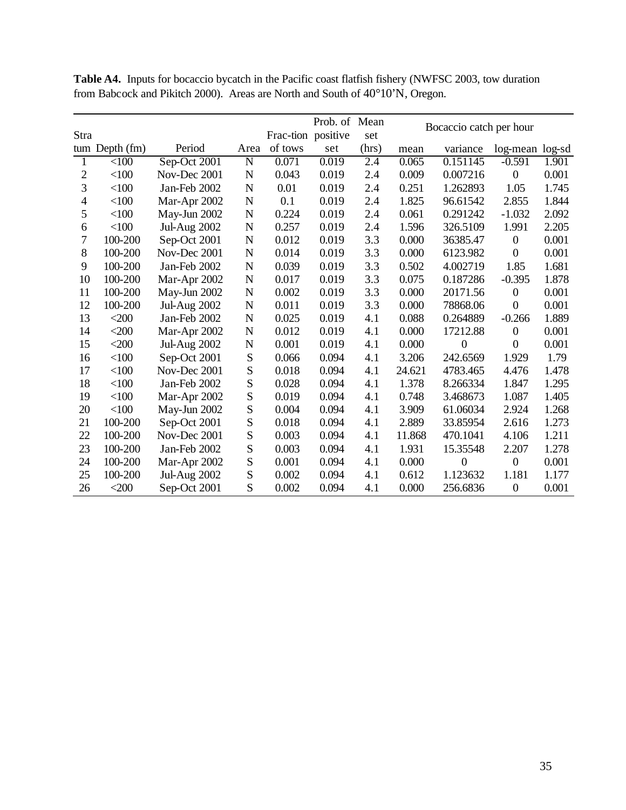|                |              |                     |             |                    | Prob. of Mean |       | Bocaccio catch per hour |                  |                  |       |
|----------------|--------------|---------------------|-------------|--------------------|---------------|-------|-------------------------|------------------|------------------|-------|
| Stra           |              |                     |             | Frac-tion positive |               | set   |                         |                  |                  |       |
| tum            | Depth (fm)   | Period              | Area        | of tows            | set           | (hrs) | mean                    | variance         | log-mean log-sd  |       |
| 1              | <100         | Sep-Oct 2001        | $\mathbf N$ | 0.071              | 0.019         | 2.4   | 0.065                   | 0.151145         | $-0.591$         | 1.901 |
| 2              | $<$ 100      | Nov-Dec 2001        | N           | 0.043              | 0.019         | 2.4   | 0.009                   | 0.007216         | $\boldsymbol{0}$ | 0.001 |
| 3              | < 100        | Jan-Feb 2002        | N           | 0.01               | 0.019         | 2.4   | 0.251                   | 1.262893         | 1.05             | 1.745 |
| $\overline{4}$ | < 100        | Mar-Apr 2002        | N           | 0.1                | 0.019         | 2.4   | 1.825                   | 96.61542         | 2.855            | 1.844 |
| 5              | $<$ 100      | May-Jun 2002        | N           | 0.224              | 0.019         | 2.4   | 0.061                   | 0.291242         | $-1.032$         | 2.092 |
| 6              | < 100        | <b>Jul-Aug 2002</b> | N           | 0.257              | 0.019         | 2.4   | 1.596                   | 326.5109         | 1.991            | 2.205 |
| 7              | 100-200      | Sep-Oct 2001        | N           | 0.012              | 0.019         | 3.3   | 0.000                   | 36385.47         | $\boldsymbol{0}$ | 0.001 |
| 8              | 100-200      | Nov-Dec 2001        | N           | 0.014              | 0.019         | 3.3   | 0.000                   | 6123.982         | $\theta$         | 0.001 |
| 9              | 100-200      | Jan-Feb 2002        | N           | 0.039              | 0.019         | 3.3   | 0.502                   | 4.002719         | 1.85             | 1.681 |
| 10             | 100-200      | Mar-Apr 2002        | N           | 0.017              | 0.019         | 3.3   | 0.075                   | 0.187286         | $-0.395$         | 1.878 |
| 11             | 100-200      | May-Jun 2002        | N           | 0.002              | 0.019         | 3.3   | 0.000                   | 20171.56         | $\boldsymbol{0}$ | 0.001 |
| 12             | 100-200      | <b>Jul-Aug 2002</b> | N           | 0.011              | 0.019         | 3.3   | 0.000                   | 78868.06         | $\boldsymbol{0}$ | 0.001 |
| 13             | $<$ 200      | Jan-Feb 2002        | N           | 0.025              | 0.019         | 4.1   | 0.088                   | 0.264889         | $-0.266$         | 1.889 |
| 14             | $<$ 200 $\,$ | Mar-Apr 2002        | N           | 0.012              | 0.019         | 4.1   | 0.000                   | 17212.88         | $\boldsymbol{0}$ | 0.001 |
| 15             | $<$ 200 $\,$ | <b>Jul-Aug 2002</b> | N           | 0.001              | 0.019         | 4.1   | 0.000                   | $\theta$         | $\theta$         | 0.001 |
| 16             | $<$ 100      | Sep-Oct 2001        | S           | 0.066              | 0.094         | 4.1   | 3.206                   | 242.6569         | 1.929            | 1.79  |
| 17             | <100         | Nov-Dec 2001        | S           | 0.018              | 0.094         | 4.1   | 24.621                  | 4783.465         | 4.476            | 1.478 |
| 18             | $<$ 100      | Jan-Feb 2002        | S           | 0.028              | 0.094         | 4.1   | 1.378                   | 8.266334         | 1.847            | 1.295 |
| 19             | $<$ 100      | Mar-Apr 2002        | S           | 0.019              | 0.094         | 4.1   | 0.748                   | 3.468673         | 1.087            | 1.405 |
| 20             | $<$ 100      | May-Jun 2002        | S           | 0.004              | 0.094         | 4.1   | 3.909                   | 61.06034         | 2.924            | 1.268 |
| 21             | 100-200      | Sep-Oct 2001        | S           | 0.018              | 0.094         | 4.1   | 2.889                   | 33.85954         | 2.616            | 1.273 |
| 22             | 100-200      | Nov-Dec 2001        | S           | 0.003              | 0.094         | 4.1   | 11.868                  | 470.1041         | 4.106            | 1.211 |
| 23             | 100-200      | Jan-Feb 2002        | S           | 0.003              | 0.094         | 4.1   | 1.931                   | 15.35548         | 2.207            | 1.278 |
| 24             | 100-200      | Mar-Apr 2002        | S           | 0.001              | 0.094         | 4.1   | 0.000                   | $\boldsymbol{0}$ | $\boldsymbol{0}$ | 0.001 |
| 25             | 100-200      | <b>Jul-Aug 2002</b> | S           | 0.002              | 0.094         | 4.1   | 0.612                   | 1.123632         | 1.181            | 1.177 |
| 26             | $<$ 200      | Sep-Oct 2001        | S           | 0.002              | 0.094         | 4.1   | 0.000                   | 256.6836         | $\boldsymbol{0}$ | 0.001 |

**Table A4.** Inputs for bocaccio bycatch in the Pacific coast flatfish fishery (NWFSC 2003, tow duration from Babcock and Pikitch 2000). Areas are North and South of 40°10'N, Oregon.